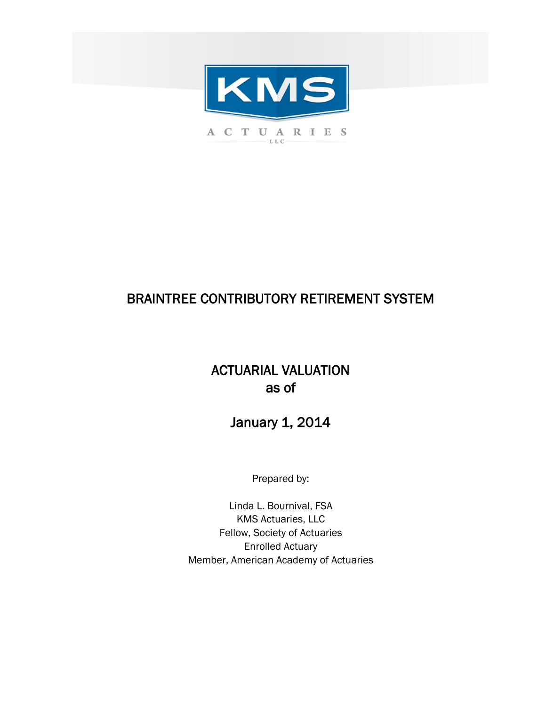

# BRAINTREE CONTRIBUTORY RETIREMENT SYSTEM

# ACTUARIAL VALUATION as of

# January 1, 2014

Prepared by:

Enrolled Actuary Member, American Academy of Actuaries Linda L. Bournival, FSA KMS Actuaries, LLC Fellow, Society of Actuaries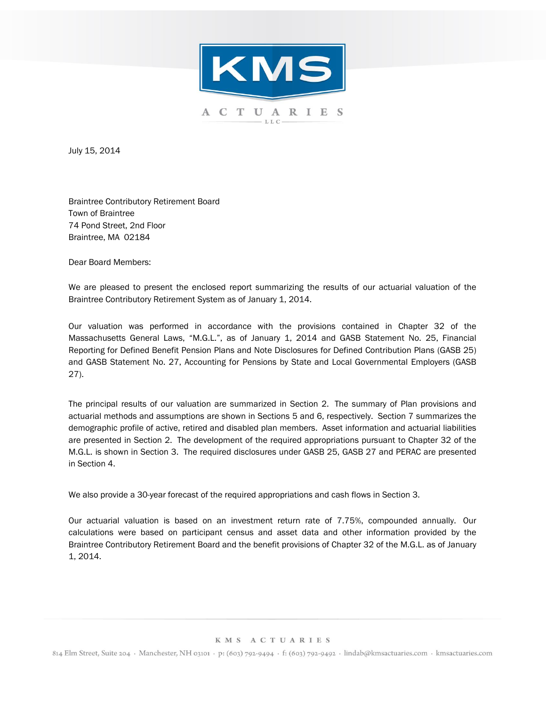

July 15, 2014

Braintree Contributory Retirement Board Town of Braintree 74 Pond Street, 2nd Floor Braintree, MA 02184

Dear Board Members:

We are pleased to present the enclosed report summarizing the results of our actuarial valuation of the Braintree Contributory Retirement System as of January 1, 2014.

Our valuation was performed in accordance with the provisions contained in Chapter 32 of the Massachusetts General Laws, "M.G.L.", as of January 1, 2014 and GASB Statement No. 25, Financial Reporting for Defined Benefit Pension Plans and Note Disclosures for Defined Contribution Plans (GASB 25) and GASB Statement No. 27, Accounting for Pensions by State and Local Governmental Employers (GASB 27).

The principal results of our valuation are summarized in Section 2. The summary of Plan provisions and actuarial methods and assumptions are shown in Sections 5 and 6, respectively. Section 7 summarizes the demographic profile of active, retired and disabled plan members. Asset information and actuarial liabilities are presented in Section 2. The development of the required appropriations pursuant to Chapter 32 of the M.G.L. is shown in Section 3. The required disclosures under GASB 25, GASB 27 and PERAC are presented in Section 4.

We also provide a 30-year forecast of the required appropriations and cash flows in Section 3.

Our actuarial valuation is based on an investment return rate of 7.75%, compounded annually. Our calculations were based on participant census and asset data and other information provided by the Braintree Contributory Retirement Board and the benefit provisions of Chapter 32 of the M.G.L. as of January 1, 2014.

#### KMS ACTUARIES

814 Elm Street, Suite 204 · Manchester, NH 03101 · p: (603) 792-9494 · f: (603) 792-9492 · lindab@kmsactuaries.com · kmsactuaries.com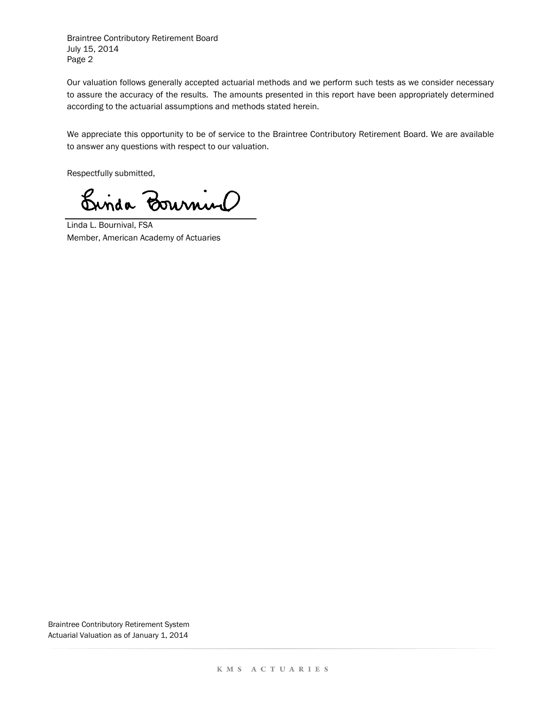Page 2 Braintree Contributory Retirement Board July 15, 2014

Our valuation follows generally accepted actuarial methods and we perform such tests as we consider necessary to assure the accuracy of the results. The amounts presented in this report have been appropriately determined according to the actuarial assumptions and methods stated herein.

We appreciate this opportunity to be of service to the Braintree Contributory Retirement Board. We are available to answer any questions with respect to our valuation.

Respectfully submitted,

Binda Bournino

Linda L. Bournival, FSA Member, American Academy of Actuaries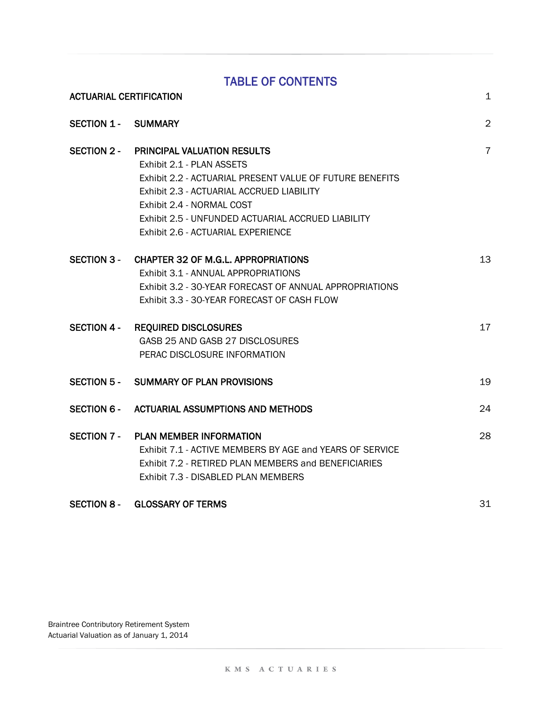## TABLE OF CONTENTS

| <b>ACTUARIAL CERTIFICATION</b> |                                                                                                                                                                                                                                                                                            | 1              |
|--------------------------------|--------------------------------------------------------------------------------------------------------------------------------------------------------------------------------------------------------------------------------------------------------------------------------------------|----------------|
| <b>SECTION 1 - SUMMARY</b>     |                                                                                                                                                                                                                                                                                            | $\overline{2}$ |
| <b>SECTION 2 -</b>             | PRINCIPAL VALUATION RESULTS<br>Exhibit 2.1 - PLAN ASSETS<br>Exhibit 2.2 - ACTUARIAL PRESENT VALUE OF FUTURE BENEFITS<br>Exhibit 2.3 - ACTUARIAL ACCRUED LIABILITY<br>Exhibit 2.4 - NORMAL COST<br>Exhibit 2.5 - UNFUNDED ACTUARIAL ACCRUED LIABILITY<br>Exhibit 2.6 - ACTUARIAL EXPERIENCE | $\overline{7}$ |
| <b>SECTION 3 -</b>             | <b>CHAPTER 32 OF M.G.L. APPROPRIATIONS</b><br>Exhibit 3.1 - ANNUAL APPROPRIATIONS<br>Exhibit 3.2 - 30-YEAR FORECAST OF ANNUAL APPROPRIATIONS<br>Exhibit 3.3 - 30-YEAR FORECAST OF CASH FLOW                                                                                                | 13             |
|                                | SECTION 4 - REQUIRED DISCLOSURES<br>GASB 25 AND GASB 27 DISCLOSURES<br>PERAC DISCLOSURE INFORMATION                                                                                                                                                                                        | 17             |
|                                | SECTION 5 - SUMMARY OF PLAN PROVISIONS                                                                                                                                                                                                                                                     | 19             |
| SECTION 6 -                    | ACTUARIAL ASSUMPTIONS AND METHODS                                                                                                                                                                                                                                                          | 24             |
| SECTION 7 -                    | <b>PLAN MEMBER INFORMATION</b><br>Exhibit 7.1 - ACTIVE MEMBERS BY AGE and YEARS OF SERVICE<br>Exhibit 7.2 - RETIRED PLAN MEMBERS and BENEFICIARIES<br>Exhibit 7.3 - DISABLED PLAN MEMBERS                                                                                                  | 28             |

### SECTION 8 - GLOSSARY OF TERMS 31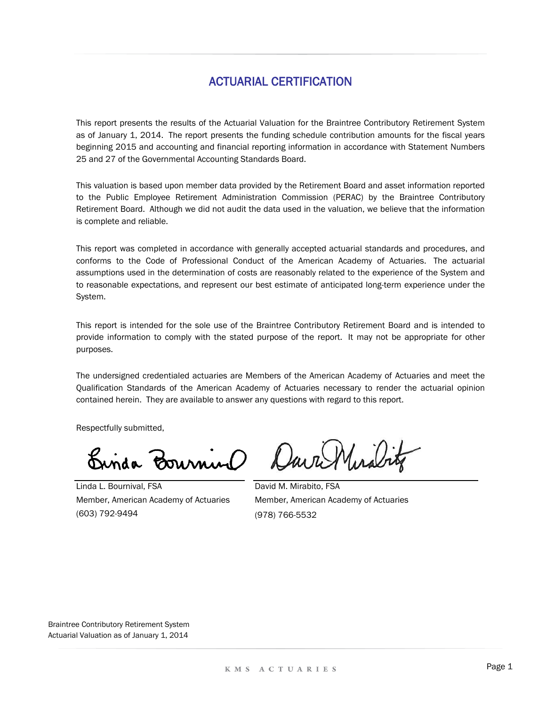### ACTUARIAL CERTIFICATION

This report presents the results of the Actuarial Valuation for the Braintree Contributory Retirement System as of January 1, 2014. The report presents the funding schedule contribution amounts for the fiscal years beginning 2015 and accounting and financial reporting information in accordance with Statement Numbers 25 and 27 of the Governmental Accounting Standards Board.

This valuation is based upon member data provided by the Retirement Board and asset information reported to the Public Employee Retirement Administration Commission (PERAC) by the Braintree Contributory Retirement Board. Although we did not audit the data used in the valuation, we believe that the information is complete and reliable.

This report was completed in accordance with generally accepted actuarial standards and procedures, and conforms to the Code of Professional Conduct of the American Academy of Actuaries. The actuarial assumptions used in the determination of costs are reasonably related to the experience of the System and to reasonable expectations, and represent our best estimate of anticipated long-term experience under the System.

This report is intended for the sole use of the Braintree Contributory Retirement Board and is intended to provide information to comply with the stated purpose of the report. It may not be appropriate for other purposes.

The undersigned credentialed actuaries are Members of the American Academy of Actuaries and meet the Qualification Standards of the American Academy of Actuaries necessary to render the actuarial opinion contained herein. They are available to answer any questions with regard to this report.

Respectfully submitted,

Binda Bournino

Dava Mirabitz

(603) 792-9494 Linda L. Bournival, FSA Member, American Academy of Actuaries

David M. Mirabito, FSA Member, American Academy of Actuaries (978) 766-5532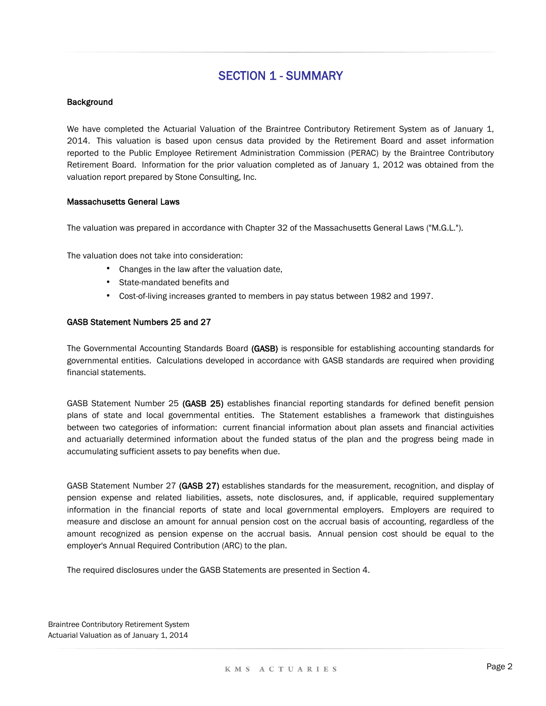#### Background

We have completed the Actuarial Valuation of the Braintree Contributory Retirement System as of January 1, 2014. This valuation is based upon census data provided by the Retirement Board and asset information reported to the Public Employee Retirement Administration Commission (PERAC) by the Braintree Contributory Retirement Board. Information for the prior valuation completed as of January 1, 2012 was obtained from the valuation report prepared by Stone Consulting, Inc.

#### Massachusetts General Laws

The valuation was prepared in accordance with Chapter 32 of the Massachusetts General Laws ("M.G.L.").

The valuation does not take into consideration:

- Changes in the law after the valuation date,
- State-mandated benefits and
- Cost-of-living increases granted to members in pay status between 1982 and 1997.

#### GASB Statement Numbers 25 and 27

The Governmental Accounting Standards Board (GASB) is responsible for establishing accounting standards for governmental entities. Calculations developed in accordance with GASB standards are required when providing financial statements.

GASB Statement Number 25 (GASB 25) establishes financial reporting standards for defined benefit pension plans of state and local governmental entities. The Statement establishes a framework that distinguishes between two categories of information: current financial information about plan assets and financial activities and actuarially determined information about the funded status of the plan and the progress being made in accumulating sufficient assets to pay benefits when due.

GASB Statement Number 27 (GASB 27) establishes standards for the measurement, recognition, and display of pension expense and related liabilities, assets, note disclosures, and, if applicable, required supplementary information in the financial reports of state and local governmental employers. Employers are required to measure and disclose an amount for annual pension cost on the accrual basis of accounting, regardless of the amount recognized as pension expense on the accrual basis. Annual pension cost should be equal to the employer's Annual Required Contribution (ARC) to the plan.

The required disclosures under the GASB Statements are presented in Section 4.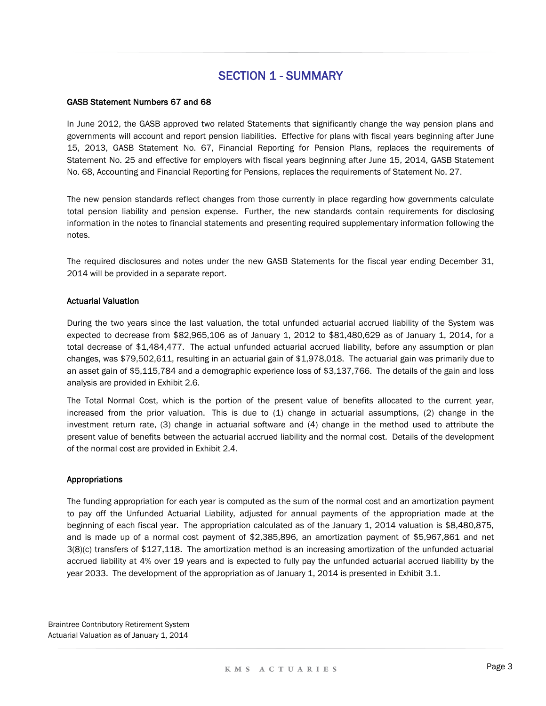#### GASB Statement Numbers 67 and 68

In June 2012, the GASB approved two related Statements that significantly change the way pension plans and governments will account and report pension liabilities. Effective for plans with fiscal years beginning after June 15, 2013, GASB Statement No. 67, Financial Reporting for Pension Plans, replaces the requirements of Statement No. 25 and effective for employers with fiscal years beginning after June 15, 2014, GASB Statement No. 68, Accounting and Financial Reporting for Pensions, replaces the requirements of Statement No. 27.

The new pension standards reflect changes from those currently in place regarding how governments calculate total pension liability and pension expense. Further, the new standards contain requirements for disclosing information in the notes to financial statements and presenting required supplementary information following the notes.

The required disclosures and notes under the new GASB Statements for the fiscal year ending December 31, 2014 will be provided in a separate report.

#### Actuarial Valuation

During the two years since the last valuation, the total unfunded actuarial accrued liability of the System was expected to decrease from \$82,965,106 as of January 1, 2012 to \$81,480,629 as of January 1, 2014, for a total decrease of \$1,484,477. The actual unfunded actuarial accrued liability, before any assumption or plan changes, was \$79,502,611, resulting in an actuarial gain of \$1,978,018. The actuarial gain was primarily due to an asset gain of \$5,115,784 and a demographic experience loss of \$3,137,766. The details of the gain and loss analysis are provided in Exhibit 2.6.

The Total Normal Cost, which is the portion of the present value of benefits allocated to the current year, increased from the prior valuation. This is due to (1) change in actuarial assumptions, (2) change in the investment return rate, (3) change in actuarial software and (4) change in the method used to attribute the present value of benefits between the actuarial accrued liability and the normal cost. Details of the development of the normal cost are provided in Exhibit 2.4.

#### Appropriations

The funding appropriation for each year is computed as the sum of the normal cost and an amortization payment to pay off the Unfunded Actuarial Liability, adjusted for annual payments of the appropriation made at the beginning of each fiscal year. The appropriation calculated as of the January 1, 2014 valuation is \$8,480,875, and is made up of a normal cost payment of \$2,385,896, an amortization payment of \$5,967,861 and net 3(8)(c) transfers of \$127,118. The amortization method is an increasing amortization of the unfunded actuarial accrued liability at 4% over 19 years and is expected to fully pay the unfunded actuarial accrued liability by the year 2033. The development of the appropriation as of January 1, 2014 is presented in Exhibit 3.1.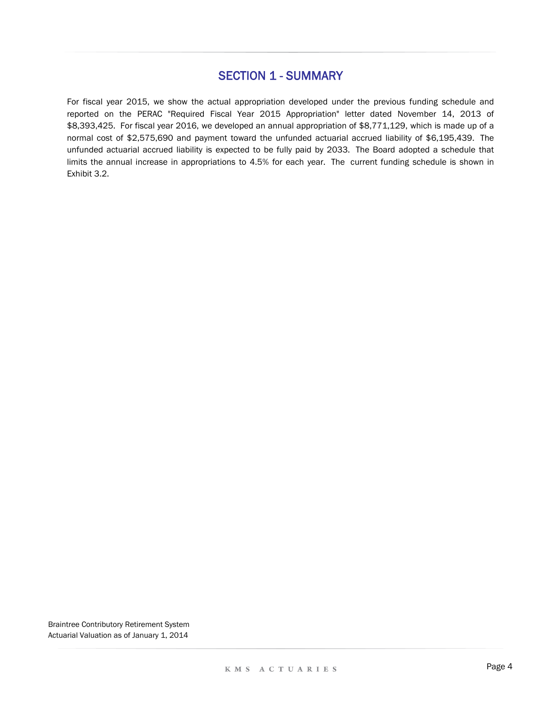For fiscal year 2015, we show the actual appropriation developed under the previous funding schedule and reported on the PERAC "Required Fiscal Year 2015 Appropriation" letter dated November 14, 2013 of \$8,393,425. For fiscal year 2016, we developed an annual appropriation of \$8,771,129, which is made up of a normal cost of \$2,575,690 and payment toward the unfunded actuarial accrued liability of \$6,195,439. The unfunded actuarial accrued liability is expected to be fully paid by 2033. The Board adopted a schedule that limits the annual increase in appropriations to 4.5% for each year. The current funding schedule is shown in Exhibit 3.2.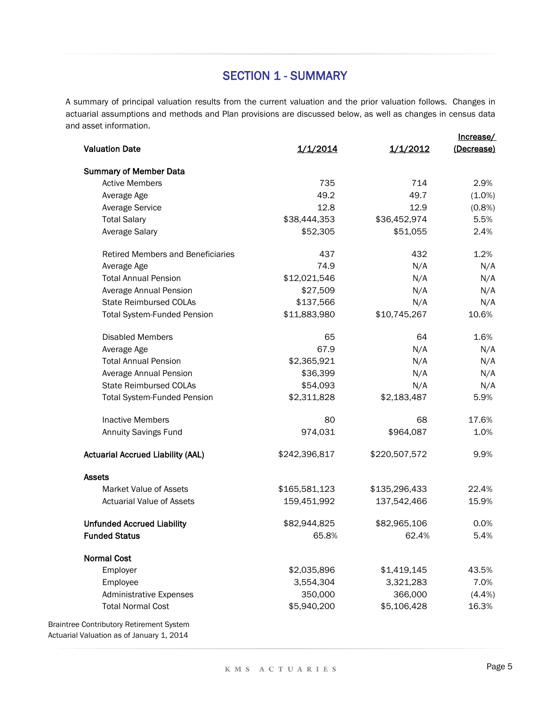Increase/ A summary of principal valuation results from the current valuation and the prior valuation follows. Changes in actuarial assumptions and methods and Plan provisions are discussed below, as well as changes in census data and asset information.

|                                                 |               |               | <u>шысаэс/</u>    |
|-------------------------------------------------|---------------|---------------|-------------------|
| <b>Valuation Date</b>                           | 1/1/2014      | 1/1/2012      | <u>(Decrease)</u> |
| <b>Summary of Member Data</b>                   |               |               |                   |
| <b>Active Members</b>                           | 735           | 714           | 2.9%              |
| Average Age                                     | 49.2          | 49.7          | $(1.0\%)$         |
| <b>Average Service</b>                          | 12.8          | 12.9          | $(0.8\%)$         |
| <b>Total Salary</b>                             | \$38,444,353  | \$36,452,974  | 5.5%              |
| Average Salary                                  | \$52,305      | \$51,055      | 2.4%              |
| <b>Retired Members and Beneficiaries</b>        | 437           | 432           | 1.2%              |
| Average Age                                     | 74.9          | N/A           | N/A               |
| <b>Total Annual Pension</b>                     | \$12,021,546  | N/A           | N/A               |
| Average Annual Pension                          | \$27,509      | N/A           | N/A               |
| <b>State Reimbursed COLAs</b>                   | \$137,566     | N/A           | N/A               |
| <b>Total System-Funded Pension</b>              | \$11,883,980  | \$10,745,267  | 10.6%             |
| <b>Disabled Members</b>                         | 65            | 64            | 1.6%              |
| Average Age                                     | 67.9          | N/A           | N/A               |
| <b>Total Annual Pension</b>                     | \$2,365,921   | N/A           | N/A               |
| Average Annual Pension                          | \$36,399      | N/A           | N/A               |
| <b>State Reimbursed COLAs</b>                   | \$54,093      | N/A           | N/A               |
| <b>Total System-Funded Pension</b>              | \$2,311,828   | \$2,183,487   | 5.9%              |
| <b>Inactive Members</b>                         | 80            | 68            | 17.6%             |
| <b>Annuity Savings Fund</b>                     | 974,031       | \$964,087     | 1.0%              |
| <b>Actuarial Accrued Liability (AAL)</b>        | \$242,396,817 | \$220,507,572 | 9.9%              |
| <b>Assets</b>                                   |               |               |                   |
| <b>Market Value of Assets</b>                   | \$165,581,123 | \$135,296,433 | 22.4%             |
| <b>Actuarial Value of Assets</b>                | 159,451,992   | 137,542,466   | 15.9%             |
| <b>Unfunded Accrued Liability</b>               | \$82,944,825  | \$82,965,106  | 0.0%              |
| <b>Funded Status</b>                            | 65.8%         | 62.4%         | 5.4%              |
| <b>Normal Cost</b>                              |               |               |                   |
| Employer                                        | \$2,035,896   | \$1,419,145   | 43.5%             |
| Employee                                        | 3,554,304     | 3,321,283     | 7.0%              |
| <b>Administrative Expenses</b>                  | 350,000       | 366,000       | (4.4%)            |
| <b>Total Normal Cost</b>                        | \$5,940,200   | \$5,106,428   | 16.3%             |
| <b>Braintree Contributory Retirement System</b> |               |               |                   |

Actuarial Valuation as of January 1, 2014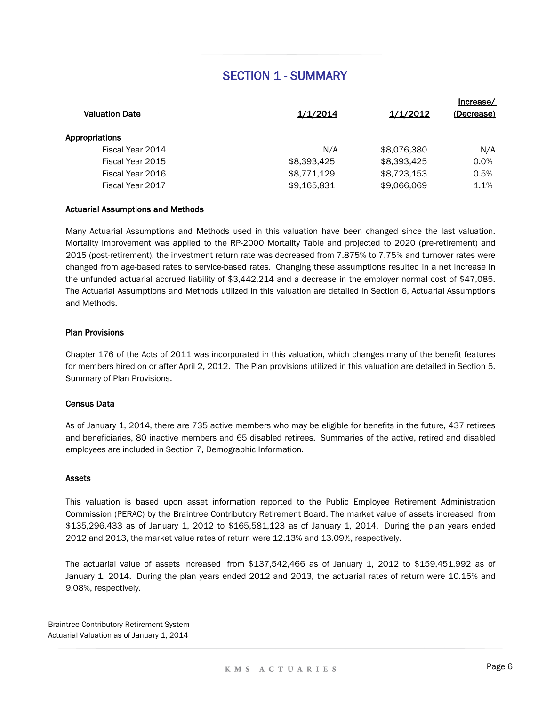|                       |             |             | Increase/  |
|-----------------------|-------------|-------------|------------|
| <b>Valuation Date</b> | 1/1/2014    | 1/1/2012    | (Decrease) |
| Appropriations        |             |             |            |
| Fiscal Year 2014      | N/A         | \$8,076,380 | N/A        |
| Fiscal Year 2015      | \$8,393,425 | \$8,393,425 | 0.0%       |
| Fiscal Year 2016      | \$8,771,129 | \$8,723,153 | 0.5%       |
| Fiscal Year 2017      | \$9,165,831 | \$9,066,069 | 1.1%       |
|                       |             |             |            |

#### Actuarial Assumptions and Methods

Many Actuarial Assumptions and Methods used in this valuation have been changed since the last valuation. Mortality improvement was applied to the RP-2000 Mortality Table and projected to 2020 (pre-retirement) and 2015 (post-retirement), the investment return rate was decreased from 7.875% to 7.75% and turnover rates were changed from age-based rates to service-based rates. Changing these assumptions resulted in a net increase in the unfunded actuarial accrued liability of \$3,442,214 and a decrease in the employer normal cost of \$47,085. The Actuarial Assumptions and Methods utilized in this valuation are detailed in Section 6, Actuarial Assumptions and Methods.

#### Plan Provisions

Chapter 176 of the Acts of 2011 was incorporated in this valuation, which changes many of the benefit features for members hired on or after April 2, 2012. The Plan provisions utilized in this valuation are detailed in Section 5, Summary of Plan Provisions.

#### Census Data

As of January 1, 2014, there are 735 active members who may be eligible for benefits in the future, 437 retirees and beneficiaries, 80 inactive members and 65 disabled retirees. Summaries of the active, retired and disabled employees are included in Section 7, Demographic Information.

#### Assets

This valuation is based upon asset information reported to the Public Employee Retirement Administration Commission (PERAC) by the Braintree Contributory Retirement Board. The market value of assets increased from \$135,296,433 as of January 1, 2012 to \$165,581,123 as of January 1, 2014. During the plan years ended 2012 and 2013, the market value rates of return were 12.13% and 13.09%, respectively.

The actuarial value of assets increased from \$137,542,466 as of January 1, 2012 to \$159,451,992 as of January 1, 2014. During the plan years ended 2012 and 2013, the actuarial rates of return were 10.15% and 9.08%, respectively.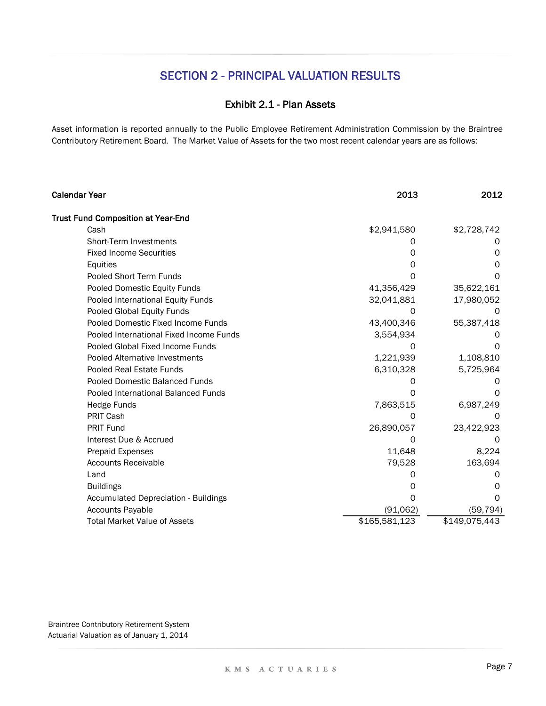### Exhibit 2.1 - Plan Assets

Asset information is reported annually to the Public Employee Retirement Administration Commission by the Braintree Contributory Retirement Board. The Market Value of Assets for the two most recent calendar years are as follows:

| <b>Calendar Year</b>                        | 2013          | 2012          |
|---------------------------------------------|---------------|---------------|
| <b>Trust Fund Composition at Year-End</b>   |               |               |
| Cash                                        | \$2,941,580   | \$2,728,742   |
| Short-Term Investments                      |               |               |
| <b>Fixed Income Securities</b>              |               | O             |
| Equities                                    | O             | 0             |
| Pooled Short Term Funds                     | O             |               |
| Pooled Domestic Equity Funds                | 41,356,429    | 35,622,161    |
| Pooled International Equity Funds           | 32,041,881    | 17,980,052    |
| Pooled Global Equity Funds                  | O             |               |
| Pooled Domestic Fixed Income Funds          | 43,400,346    | 55,387,418    |
| Pooled International Fixed Income Funds     | 3,554,934     |               |
| Pooled Global Fixed Income Funds            | 0             | $\mathcal{L}$ |
| Pooled Alternative Investments              | 1,221,939     | 1,108,810     |
| Pooled Real Estate Funds                    | 6,310,328     | 5,725,964     |
| Pooled Domestic Balanced Funds              |               |               |
| Pooled International Balanced Funds         |               |               |
| Hedge Funds                                 | 7,863,515     | 6,987,249     |
| PRIT Cash                                   | ∩             | O             |
| <b>PRIT Fund</b>                            | 26,890,057    | 23,422,923    |
| Interest Due & Accrued                      |               |               |
| <b>Prepaid Expenses</b>                     | 11,648        | 8,224         |
| <b>Accounts Receivable</b>                  | 79,528        | 163,694       |
| Land                                        |               |               |
| <b>Buildings</b>                            |               |               |
| <b>Accumulated Depreciation - Buildings</b> |               |               |
| <b>Accounts Payable</b>                     | (91,062)      | (59, 794)     |
| <b>Total Market Value of Assets</b>         | \$165,581,123 | \$149,075,443 |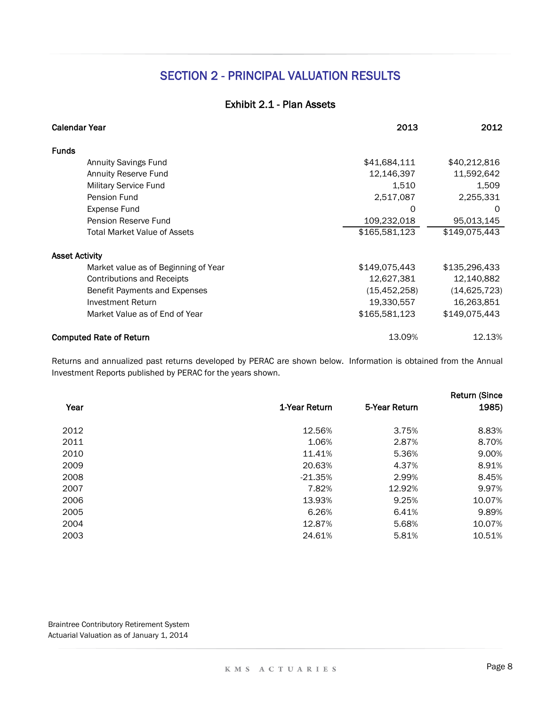### Exhibit 2.1 - Plan Assets

| <b>Calendar Year</b>                 | 2013           | 2012           |
|--------------------------------------|----------------|----------------|
| <b>Funds</b>                         |                |                |
| <b>Annuity Savings Fund</b>          | \$41,684,111   | \$40,212,816   |
| <b>Annuity Reserve Fund</b>          | 12,146,397     | 11,592,642     |
| Military Service Fund                | 1,510          | 1,509          |
| Pension Fund                         | 2,517,087      | 2,255,331      |
| Expense Fund                         | O              | $\Omega$       |
| Pension Reserve Fund                 | 109,232,018    | 95,013,145     |
| <b>Total Market Value of Assets</b>  | \$165,581,123  | \$149,075,443  |
| <b>Asset Activity</b>                |                |                |
| Market value as of Beginning of Year | \$149,075,443  | \$135,296,433  |
| Contributions and Receipts           | 12,627,381     | 12,140,882     |
| Benefit Payments and Expenses        | (15, 452, 258) | (14, 625, 723) |
| Investment Return                    | 19,330,557     | 16,263,851     |
| Market Value as of End of Year       | \$165,581,123  | \$149,075,443  |
| <b>Computed Rate of Return</b>       | 13.09%         | 12.13%         |

Returns and annualized past returns developed by PERAC are shown below. Information is obtained from the Annual Investment Reports published by PERAC for the years shown.

|      |               |               | <b>Return (Since</b> |
|------|---------------|---------------|----------------------|
| Year | 1-Year Return | 5-Year Return | 1985)                |
| 2012 | 12.56%        | 3.75%         | 8.83%                |
| 2011 | 1.06%         | 2.87%         | 8.70%                |
| 2010 | 11.41%        | 5.36%         | 9.00%                |
| 2009 | 20.63%        | 4.37%         | 8.91%                |
| 2008 | $-21.35%$     | 2.99%         | 8.45%                |
| 2007 | 7.82%         | 12.92%        | 9.97%                |
| 2006 | 13.93%        | 9.25%         | 10.07%               |
| 2005 | 6.26%         | 6.41%         | 9.89%                |
| 2004 | 12.87%        | 5.68%         | 10.07%               |
| 2003 | 24.61%        | 5.81%         | 10.51%               |
|      |               |               |                      |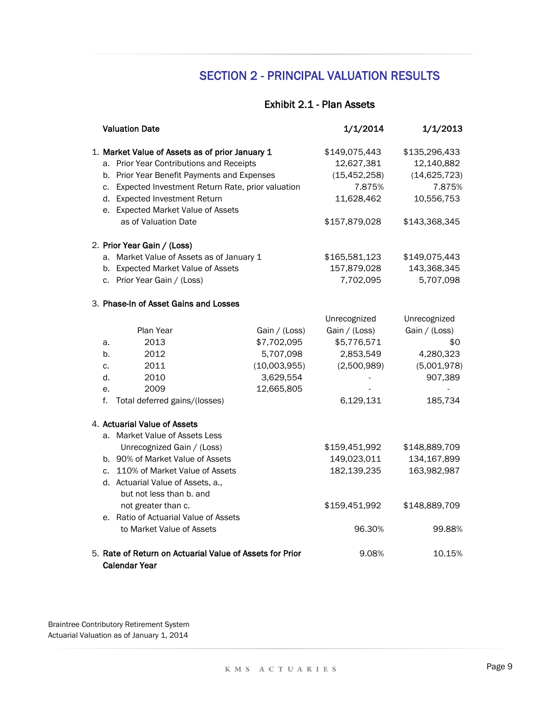### Exhibit 2.1 - Plan Assets

|    | <b>Valuation Date</b>                                                            |               | 1/1/2014       | 1/1/2013       |
|----|----------------------------------------------------------------------------------|---------------|----------------|----------------|
|    | 1. Market Value of Assets as of prior January 1                                  |               | \$149,075,443  | \$135,296,433  |
|    | a. Prior Year Contributions and Receipts                                         |               | 12,627,381     | 12,140,882     |
|    | b. Prior Year Benefit Payments and Expenses                                      |               | (15, 452, 258) | (14, 625, 723) |
|    | c. Expected Investment Return Rate, prior valuation                              |               | 7.875%         | 7.875%         |
|    | d. Expected Investment Return                                                    |               | 11,628,462     | 10,556,753     |
|    | e. Expected Market Value of Assets                                               |               |                |                |
|    | as of Valuation Date                                                             |               | \$157,879,028  | \$143,368,345  |
|    | 2. Prior Year Gain / (Loss)                                                      |               |                |                |
|    | a. Market Value of Assets as of January 1                                        |               | \$165,581,123  | \$149,075,443  |
|    | b. Expected Market Value of Assets                                               |               | 157,879,028    | 143,368,345    |
|    | c. Prior Year Gain / (Loss)                                                      |               | 7,702,095      | 5,707,098      |
|    | 3. Phase-In of Asset Gains and Losses                                            |               |                |                |
|    |                                                                                  |               | Unrecognized   | Unrecognized   |
|    | Plan Year                                                                        | Gain / (Loss) | Gain / (Loss)  | Gain / (Loss)  |
| a. | 2013                                                                             | \$7,702,095   | \$5,776,571    | \$0            |
| b. | 2012                                                                             | 5,707,098     | 2,853,549      | 4,280,323      |
| c. | 2011                                                                             | (10,003,955)  | (2,500,989)    | (5,001,978)    |
| d. | 2010                                                                             | 3,629,554     |                | 907,389        |
| е. | 2009                                                                             | 12,665,805    |                |                |
| f. | Total deferred gains/(losses)                                                    |               | 6,129,131      | 185,734        |
|    | 4. Actuarial Value of Assets                                                     |               |                |                |
|    | a. Market Value of Assets Less                                                   |               |                |                |
|    | Unrecognized Gain / (Loss)                                                       |               | \$159,451,992  | \$148,889,709  |
|    | b. 90% of Market Value of Assets                                                 |               | 149,023,011    | 134,167,899    |
|    | c. 110% of Market Value of Assets                                                |               | 182,139,235    | 163,982,987    |
|    | d. Actuarial Value of Assets, a.,                                                |               |                |                |
|    | but not less than b. and                                                         |               |                |                |
|    | not greater than c.                                                              |               | \$159,451,992  | \$148,889,709  |
|    | e. Ratio of Actuarial Value of Assets                                            |               |                |                |
|    | to Market Value of Assets                                                        |               | 96.30%         | 99.88%         |
|    | 5. Rate of Return on Actuarial Value of Assets for Prior<br><b>Calendar Year</b> |               | 9.08%          | 10.15%         |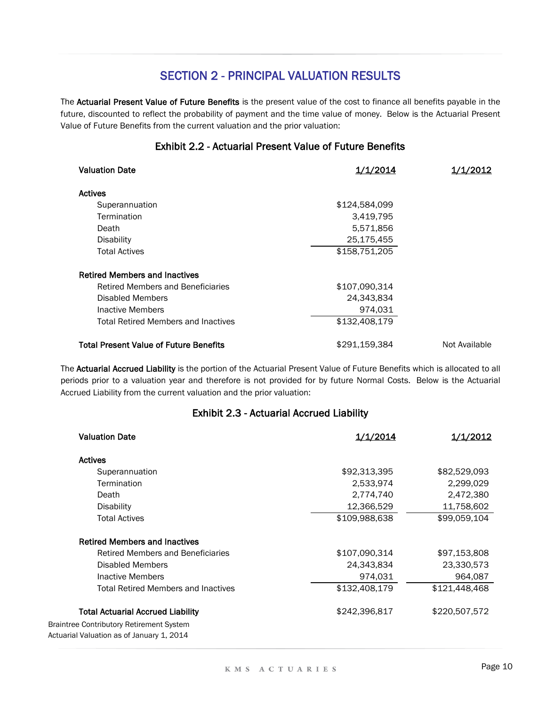The Actuarial Present Value of Future Benefits is the present value of the cost to finance all benefits payable in the future, discounted to reflect the probability of payment and the time value of money. Below is the Actuarial Present Value of Future Benefits from the current valuation and the prior valuation:

#### Exhibit 2.2 - Actuarial Present Value of Future Benefits

| <b>Valuation Date</b>                         | <u>1/1/2014</u> | 1/1/2012      |
|-----------------------------------------------|-----------------|---------------|
| <b>Actives</b>                                |                 |               |
| Superannuation                                | \$124,584,099   |               |
| Termination                                   | 3,419,795       |               |
| Death                                         | 5,571,856       |               |
| <b>Disability</b>                             | 25,175,455      |               |
| <b>Total Actives</b>                          | \$158,751,205   |               |
| <b>Retired Members and Inactives</b>          |                 |               |
| Retired Members and Beneficiaries             | \$107,090,314   |               |
| Disabled Members                              | 24,343,834      |               |
| Inactive Members                              | 974,031         |               |
| <b>Total Retired Members and Inactives</b>    | \$132,408,179   |               |
| <b>Total Present Value of Future Benefits</b> | \$291,159,384   | Not Available |

The Actuarial Accrued Liability is the portion of the Actuarial Present Value of Future Benefits which is allocated to all periods prior to a valuation year and therefore is not provided for by future Normal Costs. Below is the Actuarial Accrued Liability from the current valuation and the prior valuation:

### Exhibit 2.3 - Actuarial Accrued Liability

| <b>Valuation Date</b>                           | 1/1/2014      | 1/1/2012      |
|-------------------------------------------------|---------------|---------------|
| <b>Actives</b>                                  |               |               |
| Superannuation                                  | \$92,313,395  | \$82,529,093  |
| Termination                                     | 2,533,974     | 2,299,029     |
| Death                                           | 2,774,740     | 2,472,380     |
| <b>Disability</b>                               | 12,366,529    | 11,758,602    |
| <b>Total Actives</b>                            | \$109,988,638 | \$99,059,104  |
| <b>Retired Members and Inactives</b>            |               |               |
| Retired Members and Beneficiaries               | \$107,090,314 | \$97,153,808  |
| Disabled Members                                | 24,343,834    | 23,330,573    |
| <b>Inactive Members</b>                         | 974,031       | 964,087       |
| <b>Total Retired Members and Inactives</b>      | \$132,408,179 | \$121,448,468 |
| <b>Total Actuarial Accrued Liability</b>        | \$242,396,817 | \$220,507,572 |
| <b>Braintree Contributory Retirement System</b> |               |               |
| Actuarial Valuation as of January 1, 2014       |               |               |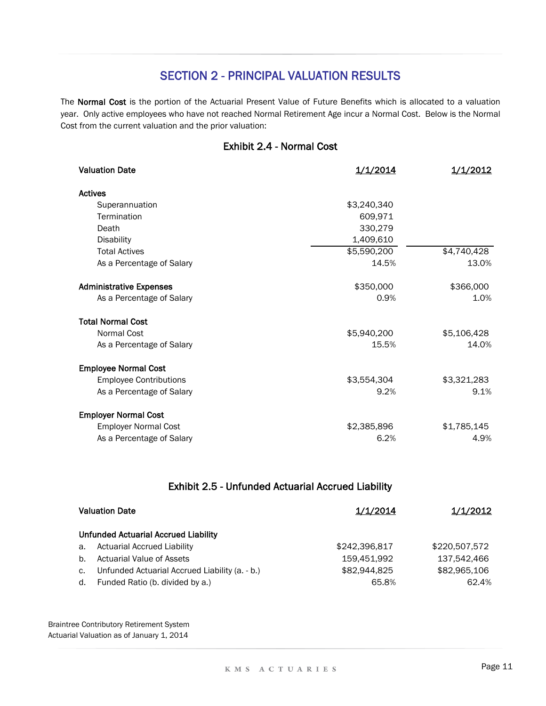The Normal Cost is the portion of the Actuarial Present Value of Future Benefits which is allocated to a valuation year. Only active employees who have not reached Normal Retirement Age incur a Normal Cost. Below is the Normal Cost from the current valuation and the prior valuation:

### Exhibit 2.4 - Normal Cost

| <b>Valuation Date</b>          | 1/1/2014    | 1/1/2012    |
|--------------------------------|-------------|-------------|
| <b>Actives</b>                 |             |             |
| Superannuation                 | \$3,240,340 |             |
| Termination                    | 609,971     |             |
| Death                          | 330,279     |             |
| <b>Disability</b>              | 1,409,610   |             |
| <b>Total Actives</b>           | \$5,590,200 | \$4,740,428 |
| As a Percentage of Salary      | 14.5%       | 13.0%       |
| <b>Administrative Expenses</b> | \$350,000   | \$366,000   |
| As a Percentage of Salary      | 0.9%        | 1.0%        |
| <b>Total Normal Cost</b>       |             |             |
| <b>Normal Cost</b>             | \$5,940,200 | \$5,106,428 |
| As a Percentage of Salary      | 15.5%       | 14.0%       |
| <b>Employee Normal Cost</b>    |             |             |
| <b>Employee Contributions</b>  | \$3,554,304 | \$3,321,283 |
| As a Percentage of Salary      | 9.2%        | 9.1%        |
| <b>Employer Normal Cost</b>    |             |             |
| <b>Employer Normal Cost</b>    | \$2,385,896 | \$1,785,145 |
| As a Percentage of Salary      | 6.2%        | 4.9%        |

### Exhibit 2.5 - Unfunded Actuarial Accrued Liability

| <b>Valuation Date</b> |                                                | <u>1/1/2014</u> | <u>1/1/2012</u> |
|-----------------------|------------------------------------------------|-----------------|-----------------|
|                       | <b>Unfunded Actuarial Accrued Liability</b>    |                 |                 |
| a.                    | <b>Actuarial Accrued Liability</b>             | \$242,396,817   | \$220,507,572   |
| $b_{-}$               | <b>Actuarial Value of Assets</b>               | 159.451.992     | 137.542.466     |
| $C_{\bullet}$         | Unfunded Actuarial Accrued Liability (a. - b.) | \$82,944,825    | \$82,965,106    |
| d.                    | Funded Ratio (b. divided by a.)                | 65.8%           | 62.4%           |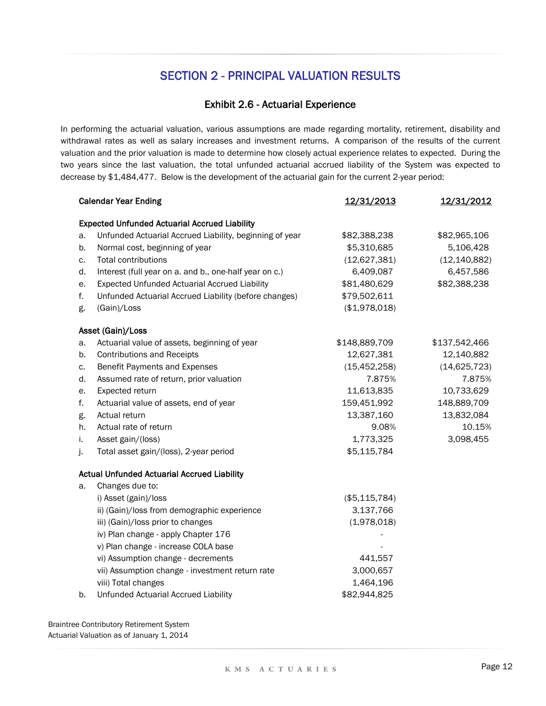### Exhibit 2.6 - Actuarial Experience

In performing the actuarial valuation, various assumptions are made regarding mortality, retirement, disability and withdrawal rates as well as salary increases and investment returns. A comparison of the results of the current valuation and the prior valuation is made to determine how closely actual experience relates to expected. During the two years since the last valuation, the total unfunded actuarial accrued liability of the System was expected to decrease by \$1,484,477. Below is the development of the actuarial gain for the current 2-year period:

|    | <b>Calendar Year Ending</b>                             | 12/31/2013      | <u>12/31/2012</u> |
|----|---------------------------------------------------------|-----------------|-------------------|
|    | <b>Expected Unfunded Actuarial Accrued Liability</b>    |                 |                   |
| a. | Unfunded Actuarial Accrued Liability, beginning of year | \$82,388,238    | \$82,965,106      |
| b. | Normal cost, beginning of year                          | \$5,310,685     | 5,106,428         |
| c. | <b>Total contributions</b>                              | (12,627,381)    | (12, 140, 882)    |
| d. | Interest (full year on a. and b., one-half year on c.)  | 6,409,087       | 6,457,586         |
| е. | <b>Expected Unfunded Actuarial Accrued Liability</b>    | \$81,480,629    | \$82,388,238      |
| f. | Unfunded Actuarial Accrued Liability (before changes)   | \$79,502,611    |                   |
| g. | (Gain)/Loss                                             | (\$1,978,018)   |                   |
|    | Asset (Gain)/Loss                                       |                 |                   |
| a. | Actuarial value of assets, beginning of year            | \$148,889,709   | \$137,542,466     |
| b. | <b>Contributions and Receipts</b>                       | 12,627,381      | 12,140,882        |
| c. | Benefit Payments and Expenses                           | (15, 452, 258)  | (14, 625, 723)    |
| d. | Assumed rate of return, prior valuation                 | 7.875%          | 7.875%            |
| е. | Expected return                                         | 11,613,835      | 10,733,629        |
| f. | Actuarial value of assets, end of year                  | 159,451,992     | 148,889,709       |
| g. | Actual return                                           | 13,387,160      | 13,832,084        |
| h. | Actual rate of return                                   | 9.08%           | 10.15%            |
| i. | Asset gain/(loss)                                       | 1,773,325       | 3,098,455         |
| j. | Total asset gain/(loss), 2-year period                  | \$5,115,784     |                   |
|    | <b>Actual Unfunded Actuarial Accrued Liability</b>      |                 |                   |
| a. | Changes due to:                                         |                 |                   |
|    | i) Asset (gain)/loss                                    | (\$5, 115, 784) |                   |
|    | ii) (Gain)/loss from demographic experience             | 3,137,766       |                   |
|    | iii) (Gain)/loss prior to changes                       | (1,978,018)     |                   |
|    | iv) Plan change - apply Chapter 176                     |                 |                   |
|    | v) Plan change - increase COLA base                     |                 |                   |
|    | vi) Assumption change - decrements                      | 441,557         |                   |
|    | vii) Assumption change - investment return rate         | 3,000,657       |                   |
|    | viii) Total changes                                     | 1,464,196       |                   |
| b. | Unfunded Actuarial Accrued Liability                    | \$82,944,825    |                   |

Braintree Contributory Retirement System

Actuarial Valuation as of January 1, 2014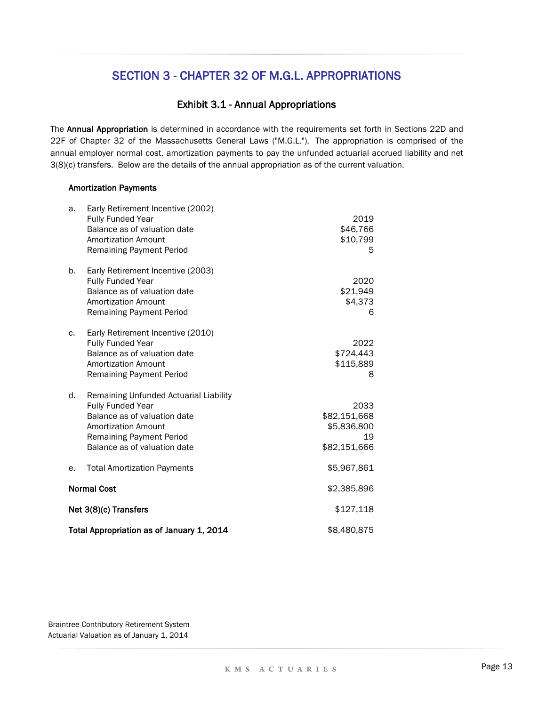#### Exhibit 3.1 - Annual Appropriations

The Annual Appropriation is determined in accordance with the requirements set forth in Sections 22D and 22F of Chapter 32 of the Massachusetts General Laws ("M.G.L."). The appropriation is comprised of the annual employer normal cost, amortization payments to pay the unfunded actuarial accrued liability and net 3(8)(c) transfers. Below are the details of the annual appropriation as of the current valuation.

#### **Amortization Payments**

| a. | Early Retirement Incentive (2002)<br>Fully Funded Year<br>Balance as of valuation date<br><b>Amortization Amount</b><br><b>Remaining Payment Period</b>                                      | 2019<br>\$46,766<br>\$10,799<br>5                         |  |
|----|----------------------------------------------------------------------------------------------------------------------------------------------------------------------------------------------|-----------------------------------------------------------|--|
| b. | Early Retirement Incentive (2003)<br>Fully Funded Year<br>Balance as of valuation date<br><b>Amortization Amount</b><br>Remaining Payment Period                                             | 2020<br>\$21,949<br>\$4,373<br>6                          |  |
| C. | Early Retirement Incentive (2010)<br><b>Fully Funded Year</b><br>Balance as of valuation date<br><b>Amortization Amount</b><br><b>Remaining Payment Period</b>                               | 2022<br>\$724,443<br>\$115,889<br>8                       |  |
| d. | Remaining Unfunded Actuarial Liability<br>Fully Funded Year<br>Balance as of valuation date<br><b>Amortization Amount</b><br><b>Remaining Payment Period</b><br>Balance as of valuation date | 2033<br>\$82,151,668<br>\$5,836,800<br>19<br>\$82,151,666 |  |
| е. | <b>Total Amortization Payments</b>                                                                                                                                                           | \$5,967,861                                               |  |
|    | <b>Normal Cost</b>                                                                                                                                                                           | \$2,385,896                                               |  |
|    | Net 3(8)(c) Transfers                                                                                                                                                                        | \$127,118                                                 |  |
|    | Total Appropriation as of January 1, 2014                                                                                                                                                    | \$8,480,875                                               |  |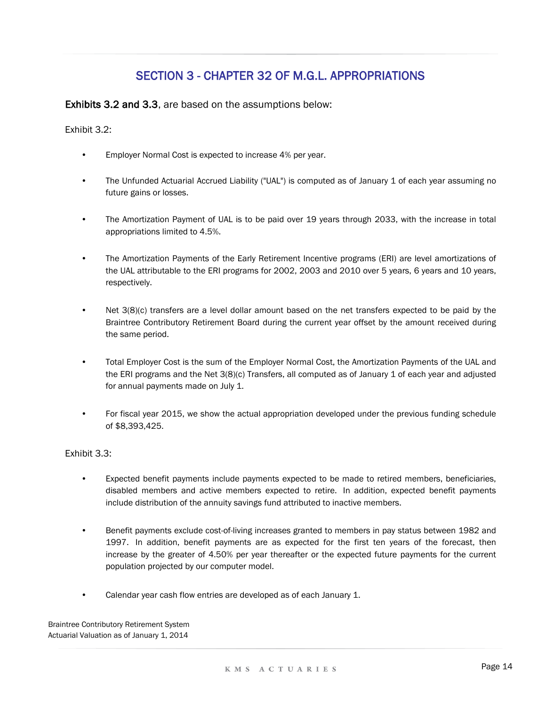Exhibits 3.2 and 3.3, are based on the assumptions below:

Exhibit 3.2:

- Employer Normal Cost is expected to increase 4% per year.
- The Unfunded Actuarial Accrued Liability ("UAL") is computed as of January 1 of each year assuming no future gains or losses.
- The Amortization Payment of UAL is to be paid over 19 years through 2033, with the increase in total appropriations limited to 4.5%.
- The Amortization Payments of the Early Retirement Incentive programs (ERI) are level amortizations of the UAL attributable to the ERI programs for 2002, 2003 and 2010 over 5 years, 6 years and 10 years, respectively.
- Net 3(8)(c) transfers are a level dollar amount based on the net transfers expected to be paid by the Braintree Contributory Retirement Board during the current year offset by the amount received during the same period.
- Total Employer Cost is the sum of the Employer Normal Cost, the Amortization Payments of the UAL and the ERI programs and the Net 3(8)(c) Transfers, all computed as of January 1 of each year and adjusted for annual payments made on July 1.
- For fiscal year 2015, we show the actual appropriation developed under the previous funding schedule of \$8,393,425.

Exhibit 3.3:

- Expected benefit payments include payments expected to be made to retired members, beneficiaries, disabled members and active members expected to retire. In addition, expected benefit payments include distribution of the annuity savings fund attributed to inactive members.
- Benefit payments exclude cost-of-living increases granted to members in pay status between 1982 and 1997. In addition, benefit payments are as expected for the first ten years of the forecast, then increase by the greater of 4.50% per year thereafter or the expected future payments for the current population projected by our computer model.
- Calendar year cash flow entries are developed as of each January 1.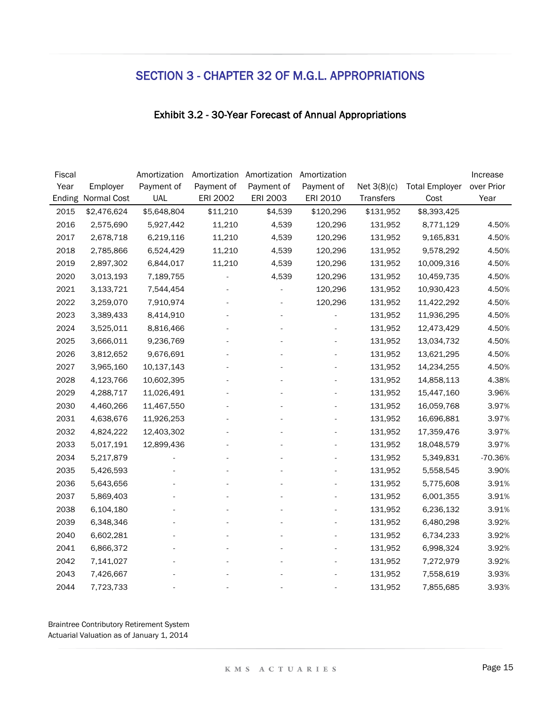### Exhibit 3.2 - 30-Year Forecast of Annual Appropriations

| Fiscal |             | Amortization | Amortization | Amortization | Amortization |               |                       | Increase   |
|--------|-------------|--------------|--------------|--------------|--------------|---------------|-----------------------|------------|
| Year   | Employer    | Payment of   | Payment of   | Payment of   | Payment of   | Net $3(8)(c)$ | <b>Total Employer</b> | over Prior |
| Ending | Normal Cost | <b>UAL</b>   | ERI 2002     | ERI 2003     | ERI 2010     | Transfers     | Cost                  | Year       |
| 2015   | \$2,476,624 | \$5,648,804  | \$11,210     | \$4,539      | \$120,296    | \$131,952     | \$8,393,425           |            |
| 2016   | 2,575,690   | 5,927,442    | 11,210       | 4,539        | 120,296      | 131,952       | 8,771,129             | 4.50%      |
| 2017   | 2,678,718   | 6,219,116    | 11,210       | 4,539        | 120,296      | 131,952       | 9,165,831             | 4.50%      |
| 2018   | 2,785,866   | 6,524,429    | 11,210       | 4,539        | 120,296      | 131,952       | 9,578,292             | 4.50%      |
| 2019   | 2,897,302   | 6,844,017    | 11,210       | 4,539        | 120,296      | 131,952       | 10,009,316            | 4.50%      |
| 2020   | 3,013,193   | 7,189,755    |              | 4,539        | 120,296      | 131,952       | 10,459,735            | 4.50%      |
| 2021   | 3,133,721   | 7,544,454    |              |              | 120,296      | 131,952       | 10,930,423            | 4.50%      |
| 2022   | 3,259,070   | 7,910,974    |              |              | 120,296      | 131,952       | 11,422,292            | 4.50%      |
| 2023   | 3,389,433   | 8,414,910    |              |              |              | 131,952       | 11,936,295            | 4.50%      |
| 2024   | 3,525,011   | 8,816,466    |              |              |              | 131,952       | 12,473,429            | 4.50%      |
| 2025   | 3,666,011   | 9,236,769    |              |              |              | 131,952       | 13,034,732            | 4.50%      |
| 2026   | 3,812,652   | 9,676,691    |              |              |              | 131,952       | 13,621,295            | 4.50%      |
| 2027   | 3,965,160   | 10,137,143   |              |              |              | 131,952       | 14,234,255            | 4.50%      |
| 2028   | 4,123,766   | 10,602,395   |              |              |              | 131,952       | 14,858,113            | 4.38%      |
| 2029   | 4,288,717   | 11,026,491   |              |              |              | 131,952       | 15,447,160            | 3.96%      |
| 2030   | 4,460,266   | 11,467,550   |              |              |              | 131,952       | 16,059,768            | 3.97%      |
| 2031   | 4,638,676   | 11,926,253   |              |              |              | 131,952       | 16,696,881            | 3.97%      |
| 2032   | 4,824,222   | 12,403,302   |              |              |              | 131,952       | 17,359,476            | 3.97%      |
| 2033   | 5,017,191   | 12,899,436   |              |              |              | 131,952       | 18,048,579            | 3.97%      |
| 2034   | 5,217,879   |              |              |              |              | 131,952       | 5,349,831             | $-70.36%$  |
| 2035   | 5,426,593   |              |              |              |              | 131,952       | 5,558,545             | 3.90%      |
| 2036   | 5,643,656   |              |              |              |              | 131,952       | 5,775,608             | 3.91%      |
| 2037   | 5,869,403   |              |              |              |              | 131,952       | 6,001,355             | 3.91%      |
| 2038   | 6,104,180   |              |              |              |              | 131,952       | 6,236,132             | 3.91%      |
| 2039   | 6,348,346   |              |              |              |              | 131,952       | 6,480,298             | 3.92%      |
| 2040   | 6,602,281   |              |              |              |              | 131,952       | 6,734,233             | 3.92%      |
| 2041   | 6,866,372   |              |              |              |              | 131,952       | 6,998,324             | 3.92%      |
| 2042   | 7,141,027   |              |              |              |              | 131,952       | 7,272,979             | 3.92%      |
| 2043   | 7,426,667   |              |              |              |              | 131,952       | 7,558,619             | 3.93%      |
| 2044   | 7,723,733   |              |              |              |              | 131,952       | 7,855,685             | 3.93%      |
|        |             |              |              |              |              |               |                       |            |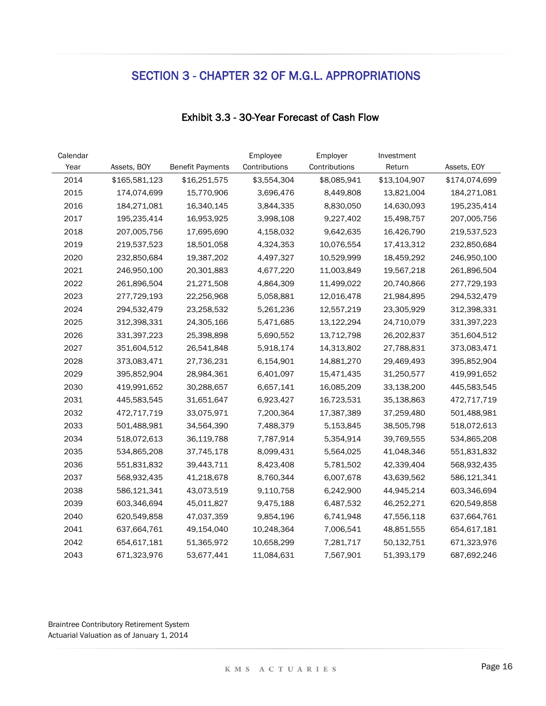| Calendar |               |                         | Employee      | Employer      | Investment   |               |
|----------|---------------|-------------------------|---------------|---------------|--------------|---------------|
| Year     | Assets, BOY   | <b>Benefit Payments</b> | Contributions | Contributions | Return       | Assets, EOY   |
| 2014     | \$165,581,123 | \$16,251,575            | \$3,554,304   | \$8,085,941   | \$13,104,907 | \$174,074,699 |
| 2015     | 174,074,699   | 15,770,906              | 3,696,476     | 8,449,808     | 13,821,004   | 184,271,081   |
| 2016     | 184,271,081   | 16,340,145              | 3,844,335     | 8,830,050     | 14,630,093   | 195,235,414   |
| 2017     | 195,235,414   | 16,953,925              | 3,998,108     | 9,227,402     | 15,498,757   | 207,005,756   |
| 2018     | 207,005,756   | 17,695,690              | 4,158,032     | 9,642,635     | 16,426,790   | 219,537,523   |
| 2019     | 219,537,523   | 18,501,058              | 4,324,353     | 10,076,554    | 17,413,312   | 232,850,684   |
| 2020     | 232,850,684   | 19,387,202              | 4,497,327     | 10,529,999    | 18,459,292   | 246,950,100   |
| 2021     | 246,950,100   | 20,301,883              | 4,677,220     | 11,003,849    | 19,567,218   | 261,896,504   |
| 2022     | 261,896,504   | 21,271,508              | 4,864,309     | 11,499,022    | 20,740,866   | 277,729,193   |
| 2023     | 277,729,193   | 22,256,968              | 5,058,881     | 12,016,478    | 21,984,895   | 294,532,479   |
| 2024     | 294,532,479   | 23,258,532              | 5,261,236     | 12,557,219    | 23,305,929   | 312,398,331   |
| 2025     | 312,398,331   | 24,305,166              | 5,471,685     | 13,122,294    | 24,710,079   | 331,397,223   |
| 2026     | 331,397,223   | 25,398,898              | 5,690,552     | 13,712,798    | 26,202,837   | 351,604,512   |
| 2027     | 351,604,512   | 26,541,848              | 5,918,174     | 14,313,802    | 27,788,831   | 373,083,471   |
| 2028     | 373,083,471   | 27,736,231              | 6,154,901     | 14,881,270    | 29,469,493   | 395,852,904   |
| 2029     | 395,852,904   | 28,984,361              | 6,401,097     | 15,471,435    | 31,250,577   | 419,991,652   |
| 2030     | 419,991,652   | 30,288,657              | 6,657,141     | 16,085,209    | 33,138,200   | 445,583,545   |
| 2031     | 445,583,545   | 31,651,647              | 6,923,427     | 16,723,531    | 35,138,863   | 472,717,719   |
| 2032     | 472,717,719   | 33,075,971              | 7,200,364     | 17,387,389    | 37,259,480   | 501,488,981   |
| 2033     | 501,488,981   | 34,564,390              | 7,488,379     | 5,153,845     | 38,505,798   | 518,072,613   |
| 2034     | 518,072,613   | 36,119,788              | 7,787,914     | 5,354,914     | 39,769,555   | 534,865,208   |
| 2035     | 534,865,208   | 37,745,178              | 8,099,431     | 5,564,025     | 41,048,346   | 551,831,832   |
| 2036     | 551,831,832   | 39,443,711              | 8,423,408     | 5,781,502     | 42,339,404   | 568,932,435   |
| 2037     | 568,932,435   | 41,218,678              | 8,760,344     | 6,007,678     | 43,639,562   | 586,121,341   |
| 2038     | 586,121,341   | 43,073,519              | 9,110,758     | 6,242,900     | 44,945,214   | 603,346,694   |
| 2039     | 603,346,694   | 45,011,827              | 9,475,188     | 6,487,532     | 46,252,271   | 620,549,858   |
| 2040     | 620,549,858   | 47,037,359              | 9,854,196     | 6,741,948     | 47,556,118   | 637,664,761   |
| 2041     | 637,664,761   | 49,154,040              | 10,248,364    | 7,006,541     | 48,851,555   | 654,617,181   |
| 2042     | 654,617,181   | 51,365,972              | 10,658,299    | 7,281,717     | 50,132,751   | 671,323,976   |
| 2043     | 671,323,976   | 53,677,441              | 11,084,631    | 7,567,901     | 51,393,179   | 687,692,246   |

### Exhibit 3.3 - 30-Year Forecast of Cash Flow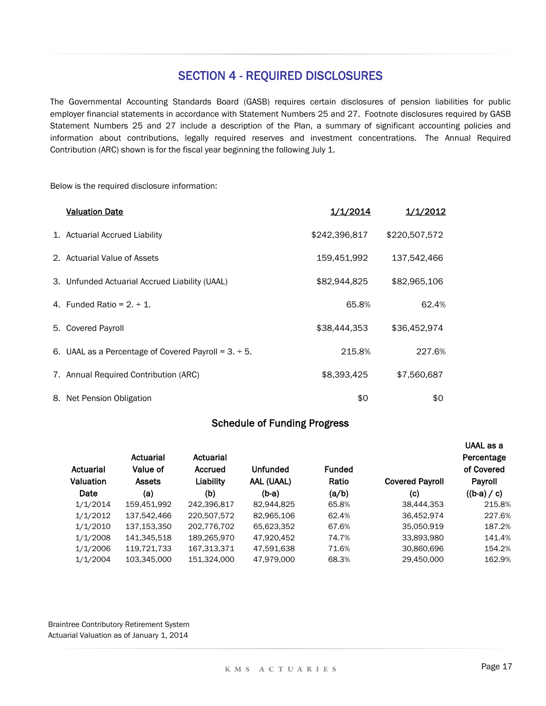### SECTION 4 - REQUIRED DISCLOSURES

The Governmental Accounting Standards Board (GASB) requires certain disclosures of pension liabilities for public employer financial statements in accordance with Statement Numbers 25 and 27. Footnote disclosures required by GASB Statement Numbers 25 and 27 include a description of the Plan, a summary of significant accounting policies and information about contributions, legally required reserves and investment concentrations. The Annual Required Contribution (ARC) shown is for the fiscal year beginning the following July 1.

Below is the required disclosure information:

| <b>Valuation Date</b>                                      | 1/1/2014      | 1/1/2012      |
|------------------------------------------------------------|---------------|---------------|
| 1. Actuarial Accrued Liability                             | \$242,396,817 | \$220,507,572 |
| 2. Actuarial Value of Assets                               | 159,451,992   | 137,542,466   |
| 3. Unfunded Actuarial Accrued Liability (UAAL)             | \$82,944,825  | \$82,965,106  |
| 4. Funded Ratio = $2 \div 1$ .                             | 65.8%         | 62.4%         |
| 5. Covered Payroll                                         | \$38,444,353  | \$36,452,974  |
| 6. UAAL as a Percentage of Covered Payroll = $3. \div 5$ . | 215.8%        | 227.6%        |
| 7. Annual Required Contribution (ARC)                      | \$8,393,425   | \$7,560,687   |
| 8. Net Pension Obligation                                  | \$0           | \$0           |

### Schedule of Funding Progress

|                  |               |             |            |               |                        | UAAL as a     |
|------------------|---------------|-------------|------------|---------------|------------------------|---------------|
|                  | Actuarial     | Actuarial   |            |               |                        | Percentage    |
| Actuarial        | Value of      | Accrued     | Unfunded   | <b>Funded</b> |                        | of Covered    |
| <b>Valuation</b> | <b>Assets</b> | Liability   | AAL (UAAL) | Ratio         | <b>Covered Payroll</b> | Payroll       |
| Date             | (a)           | (b)         | $(b-a)$    | (a/b)         | (c)                    | $((b-a) / c)$ |
| 1/1/2014         | 159,451,992   | 242,396,817 | 82,944,825 | 65.8%         | 38,444,353             | 215.8%        |
| 1/1/2012         | 137,542,466   | 220,507,572 | 82,965,106 | 62.4%         | 36,452,974             | 227.6%        |
| 1/1/2010         | 137,153,350   | 202,776,702 | 65,623,352 | 67.6%         | 35,050,919             | 187.2%        |
| 1/1/2008         | 141,345,518   | 189,265,970 | 47.920.452 | 74.7%         | 33,893,980             | 141.4%        |
| 1/1/2006         | 119,721,733   | 167,313,371 | 47,591,638 | 71.6%         | 30,860,696             | 154.2%        |
| 1/1/2004         | 103.345.000   | 151.324.000 | 47.979.000 | 68.3%         | 29.450.000             | 162.9%        |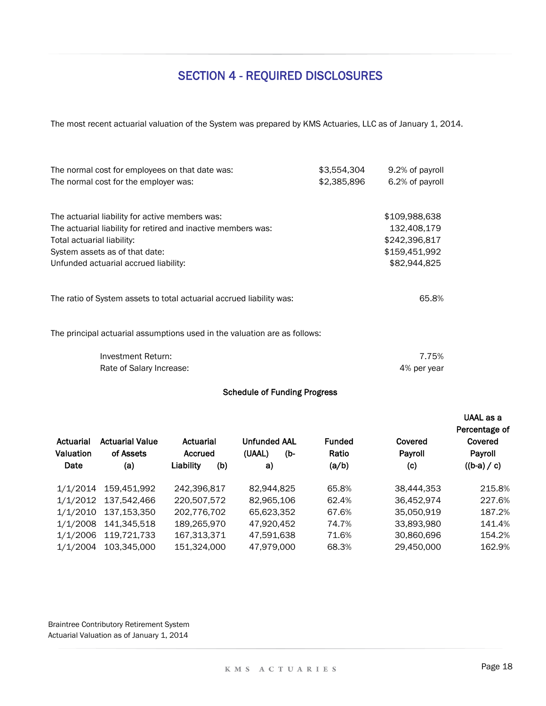# SECTION 4 - REQUIRED DISCLOSURES

The most recent actuarial valuation of the System was prepared by KMS Actuaries, LLC as of January 1, 2014.

| The normal cost for employees on that date was:<br>The normal cost for the employer was:                                                                                                                                  | \$3,554,304<br>\$2,385,896 | 9.2% of payroll<br>6.2% of payroll                                             |
|---------------------------------------------------------------------------------------------------------------------------------------------------------------------------------------------------------------------------|----------------------------|--------------------------------------------------------------------------------|
| The actuarial liability for active members was:<br>The actuarial liability for retired and inactive members was:<br>Total actuarial liability:<br>System assets as of that date:<br>Unfunded actuarial accrued liability: |                            | \$109,988,638<br>132,408,179<br>\$242,396,817<br>\$159,451,992<br>\$82,944,825 |
| The ratio of System assets to total actuarial accrued liability was:                                                                                                                                                      |                            | 65.8%                                                                          |
| The principal actuarial assumptions used in the valuation are as follows:                                                                                                                                                 |                            |                                                                                |
| Investment Return:<br>Rate of Salary Increase:                                                                                                                                                                            |                            | 7.75%<br>4% per year                                                           |

#### Schedule of Funding Progress

| Actuarial<br>Valuation<br>Date | <b>Actuarial Value</b><br>of Assets<br>(a) | Actuarial<br>Accrued<br>Liability<br>(b) | <b>Unfunded AAL</b><br>(UAAL)<br>(b-<br>a) | <b>Funded</b><br>Ratio<br>(a/b) | Covered<br>Payroll<br>(c) | UAAL as a<br>Percentage of<br>Covered<br>Payroll<br>$((b-a) / c)$ |
|--------------------------------|--------------------------------------------|------------------------------------------|--------------------------------------------|---------------------------------|---------------------------|-------------------------------------------------------------------|
| 1/1/2014                       | 159.451.992                                | 242,396,817                              | 82,944,825                                 | 65.8%                           | 38,444,353                | 215.8%                                                            |
| 1/1/2012                       | 137,542,466                                | 220,507,572                              | 82,965,106                                 | 62.4%                           | 36,452,974                | 227.6%                                                            |
| 1/1/2010                       | 137,153,350                                | 202,776,702                              | 65.623.352                                 | 67.6%                           | 35,050,919                | 187.2%                                                            |
| 1/1/2008                       | 141.345.518                                | 189.265.970                              | 47,920,452                                 | 74.7%                           | 33,893,980                | 141.4%                                                            |
| 1/1/2006                       | 119.721.733                                | 167,313,371                              | 47.591.638                                 | 71.6%                           | 30,860,696                | 154.2%                                                            |
| 1/1/2004                       | 103.345.000                                | 151,324,000                              | 47.979.000                                 | 68.3%                           | 29,450,000                | 162.9%                                                            |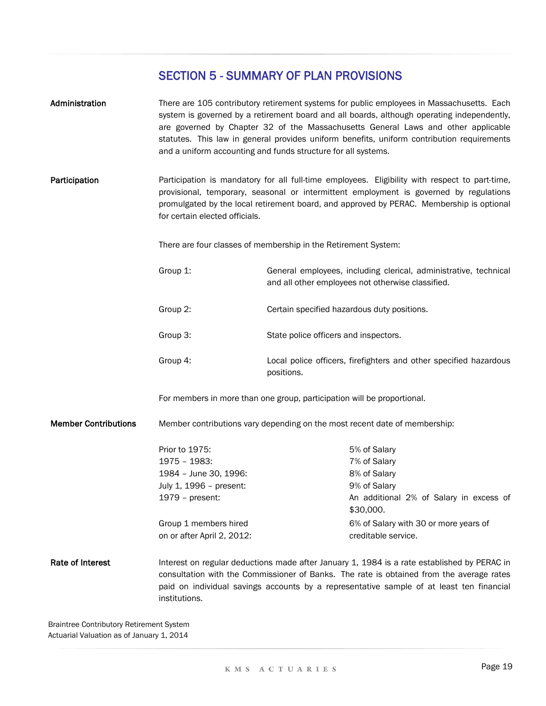| Administration              |                                                                | There are 105 contributory retirement systems for public employees in Massachusetts. Each<br>system is governed by a retirement board and all boards, although operating independently,<br>are governed by Chapter 32 of the Massachusetts General Laws and other applicable<br>statutes. This law in general provides uniform benefits, uniform contribution requirements<br>and a uniform accounting and funds structure for all systems. |  |  |
|-----------------------------|----------------------------------------------------------------|---------------------------------------------------------------------------------------------------------------------------------------------------------------------------------------------------------------------------------------------------------------------------------------------------------------------------------------------------------------------------------------------------------------------------------------------|--|--|
| Participation               | for certain elected officials.                                 | Participation is mandatory for all full-time employees. Eligibility with respect to part-time,<br>provisional, temporary, seasonal or intermittent employment is governed by regulations<br>promulgated by the local retirement board, and approved by PERAC. Membership is optional                                                                                                                                                        |  |  |
|                             | There are four classes of membership in the Retirement System: |                                                                                                                                                                                                                                                                                                                                                                                                                                             |  |  |
|                             | Group 1:                                                       | General employees, including clerical, administrative, technical<br>and all other employees not otherwise classified.                                                                                                                                                                                                                                                                                                                       |  |  |
|                             | Group 2:                                                       | Certain specified hazardous duty positions.                                                                                                                                                                                                                                                                                                                                                                                                 |  |  |
|                             | Group 3:                                                       | State police officers and inspectors.                                                                                                                                                                                                                                                                                                                                                                                                       |  |  |
|                             | Group 4:                                                       | Local police officers, firefighters and other specified hazardous<br>positions.                                                                                                                                                                                                                                                                                                                                                             |  |  |
|                             |                                                                | For members in more than one group, participation will be proportional.                                                                                                                                                                                                                                                                                                                                                                     |  |  |
| <b>Member Contributions</b> |                                                                | Member contributions vary depending on the most recent date of membership:                                                                                                                                                                                                                                                                                                                                                                  |  |  |
|                             | Prior to 1975:                                                 | 5% of Salary                                                                                                                                                                                                                                                                                                                                                                                                                                |  |  |
|                             | 1975 - 1983:                                                   | 7% of Salary                                                                                                                                                                                                                                                                                                                                                                                                                                |  |  |
|                             | 1984 - June 30, 1996:                                          | 8% of Salary                                                                                                                                                                                                                                                                                                                                                                                                                                |  |  |
|                             | July 1, 1996 - present:                                        | 9% of Salary                                                                                                                                                                                                                                                                                                                                                                                                                                |  |  |
|                             | 1979 - present:                                                | An additional 2% of Salary in excess of<br>\$30,000.                                                                                                                                                                                                                                                                                                                                                                                        |  |  |
|                             | Group 1 members hired<br>on or after April 2, 2012:            | 6% of Salary with 30 or more years of<br>creditable service.                                                                                                                                                                                                                                                                                                                                                                                |  |  |
| Rate of Interest            | institutions.                                                  | Interest on regular deductions made after January 1, 1984 is a rate established by PERAC in<br>consultation with the Commissioner of Banks. The rate is obtained from the average rates<br>paid on individual savings accounts by a representative sample of at least ten financial                                                                                                                                                         |  |  |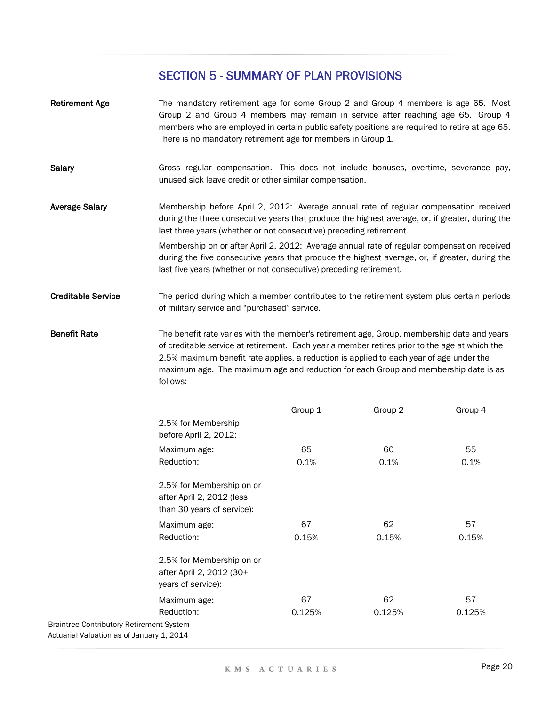- Retirement Age **Salary** Average Salary Creditable Service Benefit Rate Membership on or after April 2, 2012: Average annual rate of regular compensation received during the five consecutive years that produce the highest average, or, if greater, during the last five years (whether or not consecutive) preceding retirement. The mandatory retirement age for some Group 2 and Group 4 members is age 65. Most Group 2 and Group 4 members may remain in service after reaching age 65. Group 4 members who are employed in certain public safety positions are required to retire at age 65. There is no mandatory retirement age for members in Group 1. Gross regular compensation. This does not include bonuses, overtime, severance pay, unused sick leave credit or other similar compensation. Membership before April 2, 2012: Average annual rate of regular compensation received during the three consecutive years that produce the highest average, or, if greater, during the last three years (whether or not consecutive) preceding retirement. The period during which a member contributes to the retirement system plus certain periods of military service and "purchased" service. The benefit rate varies with the member's retirement age, Group, membership date and years
- of creditable service at retirement. Each year a member retires prior to the age at which the 2.5% maximum benefit rate applies, a reduction is applied to each year of age under the maximum age. The maximum age and reduction for each Group and membership date is as follows:

|                                                 |                                                                                      | Group 1 | Group <sub>2</sub> | <u>Group 4</u> |
|-------------------------------------------------|--------------------------------------------------------------------------------------|---------|--------------------|----------------|
|                                                 | 2.5% for Membership<br>before April 2, 2012:                                         |         |                    |                |
|                                                 | Maximum age:                                                                         | 65      | 60                 | 55             |
|                                                 | Reduction:                                                                           | 0.1%    | 0.1%               | 0.1%           |
|                                                 | 2.5% for Membership on or<br>after April 2, 2012 (less<br>than 30 years of service): |         |                    |                |
|                                                 | Maximum age:                                                                         | 67      | 62                 | 57             |
|                                                 | Reduction:                                                                           | 0.15%   | 0.15%              | 0.15%          |
|                                                 | 2.5% for Membership on or<br>after April 2, 2012 (30+<br>years of service):          |         |                    |                |
|                                                 | Maximum age:                                                                         | 67      | 62                 | 57             |
|                                                 | Reduction:                                                                           | 0.125%  | 0.125%             | 0.125%         |
| <b>Braintree Contributory Retirement System</b> |                                                                                      |         |                    |                |
| Actuarial Valuation as of January 1, 2014       |                                                                                      |         |                    |                |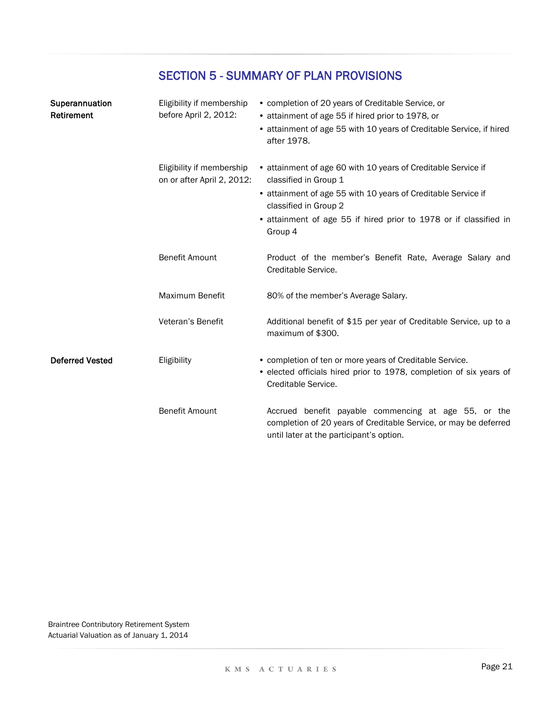| Superannuation<br>Retirement | Eligibility if membership<br>before April 2, 2012:      | • completion of 20 years of Creditable Service, or<br>• attainment of age 55 if hired prior to 1978, or<br>• attainment of age 55 with 10 years of Creditable Service, if hired<br>after 1978.                                                                   |
|------------------------------|---------------------------------------------------------|------------------------------------------------------------------------------------------------------------------------------------------------------------------------------------------------------------------------------------------------------------------|
|                              | Eligibility if membership<br>on or after April 2, 2012: | • attainment of age 60 with 10 years of Creditable Service if<br>classified in Group 1<br>• attainment of age 55 with 10 years of Creditable Service if<br>classified in Group 2<br>• attainment of age 55 if hired prior to 1978 or if classified in<br>Group 4 |
|                              | <b>Benefit Amount</b>                                   | Product of the member's Benefit Rate, Average Salary and<br>Creditable Service.                                                                                                                                                                                  |
|                              | Maximum Benefit                                         | 80% of the member's Average Salary.                                                                                                                                                                                                                              |
|                              | Veteran's Benefit                                       | Additional benefit of \$15 per year of Creditable Service, up to a<br>maximum of \$300.                                                                                                                                                                          |
| <b>Deferred Vested</b>       | Eligibility                                             | • completion of ten or more years of Creditable Service.<br>• elected officials hired prior to 1978, completion of six years of<br>Creditable Service.                                                                                                           |
|                              | <b>Benefit Amount</b>                                   | Accrued benefit payable commencing at age 55, or the<br>completion of 20 years of Creditable Service, or may be deferred<br>until later at the participant's option.                                                                                             |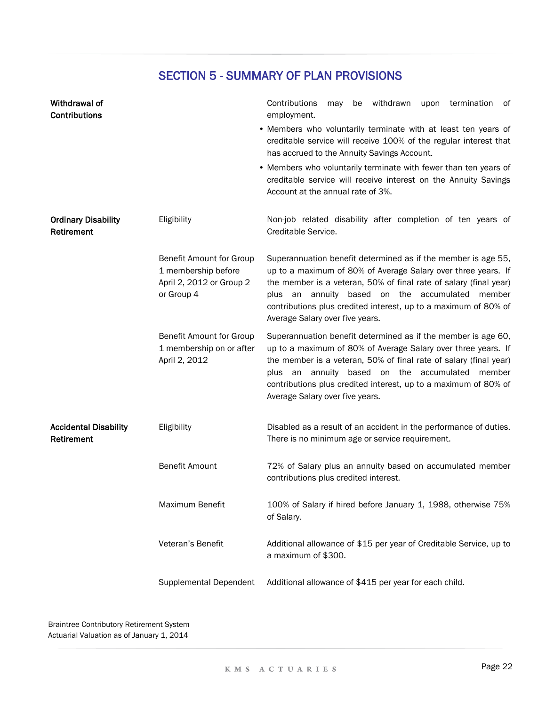| Withdrawal of<br>Contributions             |                                                                                           | Contributions<br>withdrawn<br>termination<br>of<br>may<br>be<br>upon<br>employment.                                                                                                                                                                                                                                                                             |
|--------------------------------------------|-------------------------------------------------------------------------------------------|-----------------------------------------------------------------------------------------------------------------------------------------------------------------------------------------------------------------------------------------------------------------------------------------------------------------------------------------------------------------|
|                                            |                                                                                           | • Members who voluntarily terminate with at least ten years of<br>creditable service will receive 100% of the regular interest that<br>has accrued to the Annuity Savings Account.                                                                                                                                                                              |
|                                            |                                                                                           | • Members who voluntarily terminate with fewer than ten years of<br>creditable service will receive interest on the Annuity Savings<br>Account at the annual rate of 3%.                                                                                                                                                                                        |
| <b>Ordinary Disability</b><br>Retirement   | Eligibility                                                                               | Non-job related disability after completion of ten years of<br>Creditable Service.                                                                                                                                                                                                                                                                              |
|                                            | Benefit Amount for Group<br>1 membership before<br>April 2, 2012 or Group 2<br>or Group 4 | Superannuation benefit determined as if the member is age 55,<br>up to a maximum of 80% of Average Salary over three years. If<br>the member is a veteran, 50% of final rate of salary (final year)<br>plus an annuity based on the accumulated<br>member<br>contributions plus credited interest, up to a maximum of 80% of<br>Average Salary over five years. |
|                                            | Benefit Amount for Group<br>1 membership on or after<br>April 2, 2012                     | Superannuation benefit determined as if the member is age 60,<br>up to a maximum of 80% of Average Salary over three years. If<br>the member is a veteran, 50% of final rate of salary (final year)<br>plus an annuity based on the accumulated<br>member<br>contributions plus credited interest, up to a maximum of 80% of<br>Average Salary over five years. |
| <b>Accidental Disability</b><br>Retirement | Eligibility                                                                               | Disabled as a result of an accident in the performance of duties.<br>There is no minimum age or service requirement.                                                                                                                                                                                                                                            |
|                                            | <b>Benefit Amount</b>                                                                     | 72% of Salary plus an annuity based on accumulated member<br>contributions plus credited interest.                                                                                                                                                                                                                                                              |
|                                            | Maximum Benefit                                                                           | 100% of Salary if hired before January 1, 1988, otherwise 75%<br>of Salary.                                                                                                                                                                                                                                                                                     |
|                                            | Veteran's Benefit                                                                         | Additional allowance of \$15 per year of Creditable Service, up to<br>a maximum of \$300.                                                                                                                                                                                                                                                                       |
|                                            | <b>Supplemental Dependent</b>                                                             | Additional allowance of \$415 per year for each child.                                                                                                                                                                                                                                                                                                          |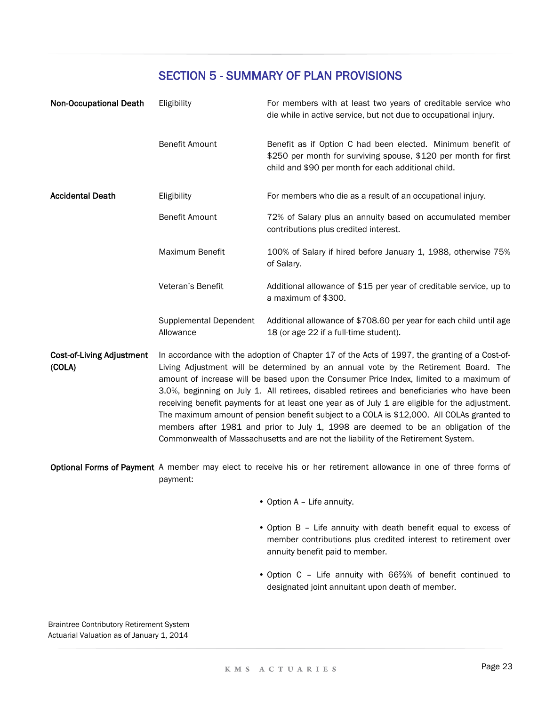| <b>Non-Occupational Death</b>              | Eligibility                         | For members with at least two years of creditable service who<br>die while in active service, but not due to occupational injury.                                                                                                                                                                                                                                                                                                                                                                                                                                                                                                                                                                                                                       |
|--------------------------------------------|-------------------------------------|---------------------------------------------------------------------------------------------------------------------------------------------------------------------------------------------------------------------------------------------------------------------------------------------------------------------------------------------------------------------------------------------------------------------------------------------------------------------------------------------------------------------------------------------------------------------------------------------------------------------------------------------------------------------------------------------------------------------------------------------------------|
|                                            | <b>Benefit Amount</b>               | Benefit as if Option C had been elected. Minimum benefit of<br>\$250 per month for surviving spouse, \$120 per month for first<br>child and \$90 per month for each additional child.                                                                                                                                                                                                                                                                                                                                                                                                                                                                                                                                                                   |
| <b>Accidental Death</b>                    | Eligibility                         | For members who die as a result of an occupational injury.                                                                                                                                                                                                                                                                                                                                                                                                                                                                                                                                                                                                                                                                                              |
|                                            | <b>Benefit Amount</b>               | 72% of Salary plus an annuity based on accumulated member<br>contributions plus credited interest.                                                                                                                                                                                                                                                                                                                                                                                                                                                                                                                                                                                                                                                      |
|                                            | Maximum Benefit                     | 100% of Salary if hired before January 1, 1988, otherwise 75%<br>of Salary.                                                                                                                                                                                                                                                                                                                                                                                                                                                                                                                                                                                                                                                                             |
|                                            | Veteran's Benefit                   | Additional allowance of \$15 per year of creditable service, up to<br>a maximum of \$300.                                                                                                                                                                                                                                                                                                                                                                                                                                                                                                                                                                                                                                                               |
|                                            | Supplemental Dependent<br>Allowance | Additional allowance of \$708.60 per year for each child until age<br>18 (or age 22 if a full-time student).                                                                                                                                                                                                                                                                                                                                                                                                                                                                                                                                                                                                                                            |
| <b>Cost-of-Living Adjustment</b><br>(COLA) |                                     | In accordance with the adoption of Chapter 17 of the Acts of 1997, the granting of a Cost-of-<br>Living Adjustment will be determined by an annual vote by the Retirement Board. The<br>amount of increase will be based upon the Consumer Price Index, limited to a maximum of<br>3.0%, beginning on July 1. All retirees, disabled retirees and beneficiaries who have been<br>receiving benefit payments for at least one year as of July 1 are eligible for the adjustment.<br>The maximum amount of pension benefit subject to a COLA is \$12,000. All COLAs granted to<br>members after 1981 and prior to July 1, 1998 are deemed to be an obligation of the<br>Commonwealth of Massachusetts and are not the liability of the Retirement System. |

Optional Forms of Payment A member may elect to receive his or her retirement allowance in one of three forms of payment:

- Option A Life annuity.
- Option B Life annuity with death benefit equal to excess of member contributions plus credited interest to retirement over annuity benefit paid to member.
- Option C Life annuity with 66⅔% of benefit continued to designated joint annuitant upon death of member.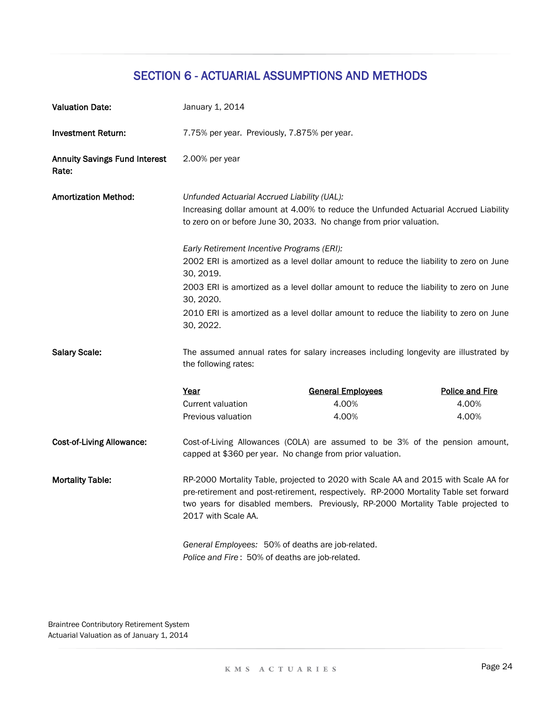| <b>Valuation Date:</b>                        | January 1, 2014                                                                                                                                                                                                                                                                         |                                                                                        |                        |  |  |
|-----------------------------------------------|-----------------------------------------------------------------------------------------------------------------------------------------------------------------------------------------------------------------------------------------------------------------------------------------|----------------------------------------------------------------------------------------|------------------------|--|--|
| <b>Investment Return:</b>                     | 7.75% per year. Previously, 7.875% per year.                                                                                                                                                                                                                                            |                                                                                        |                        |  |  |
| <b>Annuity Savings Fund Interest</b><br>Rate: | 2.00% per year                                                                                                                                                                                                                                                                          |                                                                                        |                        |  |  |
| <b>Amortization Method:</b>                   | Unfunded Actuarial Accrued Liability (UAL):<br>Increasing dollar amount at 4.00% to reduce the Unfunded Actuarial Accrued Liability<br>to zero on or before June 30, 2033. No change from prior valuation.                                                                              |                                                                                        |                        |  |  |
|                                               | Early Retirement Incentive Programs (ERI):                                                                                                                                                                                                                                              |                                                                                        |                        |  |  |
|                                               | 30, 2019.                                                                                                                                                                                                                                                                               | 2002 ERI is amortized as a level dollar amount to reduce the liability to zero on June |                        |  |  |
|                                               | 30, 2020.                                                                                                                                                                                                                                                                               | 2003 ERI is amortized as a level dollar amount to reduce the liability to zero on June |                        |  |  |
|                                               | 30, 2022.                                                                                                                                                                                                                                                                               | 2010 ERI is amortized as a level dollar amount to reduce the liability to zero on June |                        |  |  |
| <b>Salary Scale:</b>                          | the following rates:                                                                                                                                                                                                                                                                    | The assumed annual rates for salary increases including longevity are illustrated by   |                        |  |  |
|                                               | Year                                                                                                                                                                                                                                                                                    | <b>General Employees</b>                                                               | <b>Police and Fire</b> |  |  |
|                                               | <b>Current valuation</b>                                                                                                                                                                                                                                                                | 4.00%                                                                                  | 4.00%                  |  |  |
|                                               | Previous valuation                                                                                                                                                                                                                                                                      | 4.00%                                                                                  | 4.00%                  |  |  |
| <b>Cost-of-Living Allowance:</b>              | Cost-of-Living Allowances (COLA) are assumed to be 3% of the pension amount,<br>capped at \$360 per year. No change from prior valuation.                                                                                                                                               |                                                                                        |                        |  |  |
| <b>Mortality Table:</b>                       | RP-2000 Mortality Table, projected to 2020 with Scale AA and 2015 with Scale AA for<br>pre-retirement and post-retirement, respectively. RP-2000 Mortality Table set forward<br>two years for disabled members. Previously, RP-2000 Mortality Table projected to<br>2017 with Scale AA. |                                                                                        |                        |  |  |
|                                               | General Employees: 50% of deaths are job-related.<br>Police and Fire: 50% of deaths are job-related.                                                                                                                                                                                    |                                                                                        |                        |  |  |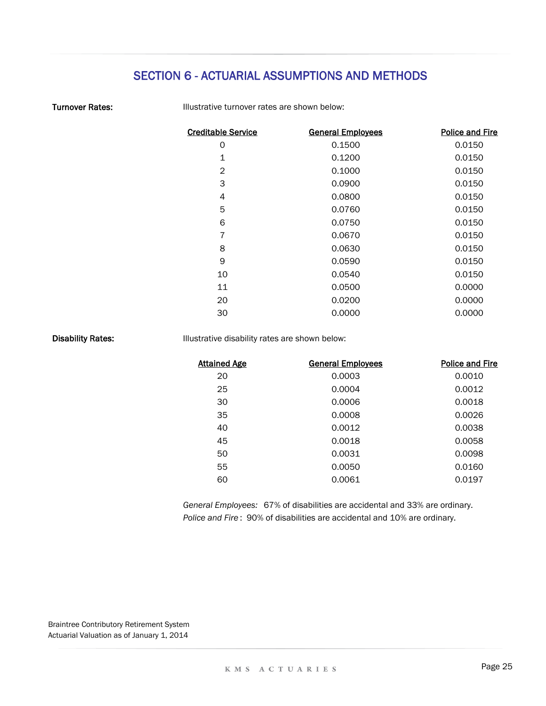| <b>Turnover Rates:</b> |  |
|------------------------|--|
|------------------------|--|

Illustrative turnover rates are shown below:

| <b>General Employees</b> | <b>Police and Fire</b> |
|--------------------------|------------------------|
| 0.1500                   | 0.0150                 |
| 0.1200                   | 0.0150                 |
| 0.1000                   | 0.0150                 |
| 0.0900                   | 0.0150                 |
| 0.0800                   | 0.0150                 |
| 0.0760                   | 0.0150                 |
| 0.0750                   | 0.0150                 |
| 0.0670                   | 0.0150                 |
| 0.0630                   | 0.0150                 |
| 0.0590                   | 0.0150                 |
| 0.0540                   | 0.0150                 |
| 0.0500                   | 0.0000                 |
| 0.0200                   | 0.0000                 |
| 0.0000                   | 0.0000                 |
|                          |                        |

Disability Rates:

Illustrative disability rates are shown below:

| <b>Attained Age</b> | <b>General Employees</b> | <b>Police and Fire</b> |
|---------------------|--------------------------|------------------------|
| 20                  | 0.0003                   | 0.0010                 |
| 25                  | 0.0004                   | 0.0012                 |
| 30                  | 0.0006                   | 0.0018                 |
| 35                  | 0.0008                   | 0.0026                 |
| 40                  | 0.0012                   | 0.0038                 |
| 45                  | 0.0018                   | 0.0058                 |
| 50                  | 0.0031                   | 0.0098                 |
| 55                  | 0.0050                   | 0.0160                 |
| 60                  | 0.0061                   | 0.0197                 |
|                     |                          |                        |

*Police and Fire* : 90% of disabilities are accidental and 10% are ordinary. *General Employees:* 67% of disabilities are accidental and 33% are ordinary.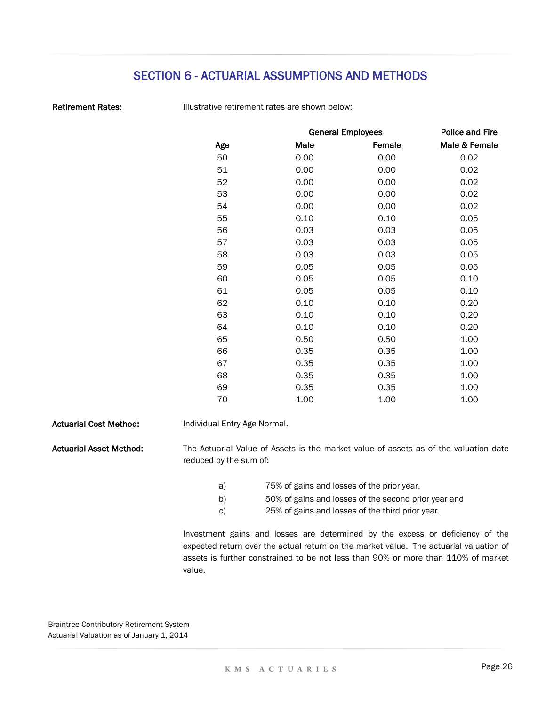Retirement Rates:

Illustrative retirement rates are shown below:

|            |             | <b>General Employees</b> | <b>Police and Fire</b> |  |  |
|------------|-------------|--------------------------|------------------------|--|--|
| <u>Age</u> | <b>Male</b> | <b>Female</b>            | Male & Female          |  |  |
| 50         | 0.00        | 0.00                     | 0.02                   |  |  |
| 51         | 0.00        | 0.00                     | 0.02                   |  |  |
| 52         | 0.00        | 0.00                     | 0.02                   |  |  |
| 53         | 0.00        | 0.00                     | 0.02                   |  |  |
| 54         | 0.00        | 0.00                     | 0.02                   |  |  |
| 55         | 0.10        | 0.10                     | 0.05                   |  |  |
| 56         | 0.03        | 0.03                     | 0.05                   |  |  |
| 57         | 0.03        | 0.03                     | 0.05                   |  |  |
| 58         | 0.03        | 0.03                     | 0.05                   |  |  |
| 59         | 0.05        | 0.05                     | 0.05                   |  |  |
| 60         | 0.05        | 0.05                     | 0.10                   |  |  |
| 61         | 0.05        | 0.05                     | 0.10                   |  |  |
| 62         | 0.10        | 0.10                     | 0.20                   |  |  |
| 63         | 0.10        | 0.10                     | 0.20                   |  |  |
| 64         | 0.10        | 0.10                     | 0.20                   |  |  |
| 65         | 0.50        | 0.50                     | 1.00                   |  |  |
| 66         | 0.35        | 0.35                     | 1.00                   |  |  |
| 67         | 0.35        | 0.35                     | 1.00                   |  |  |
| 68         | 0.35        | 0.35                     | 1.00                   |  |  |
| 69         | 0.35        | 0.35                     | 1.00                   |  |  |
| 70         | 1.00        | 1.00                     | 1.00                   |  |  |
|            |             |                          |                        |  |  |

Actuarial Cost Method: Actuarial Asset Method: a) b) c) Individual Entry Age Normal. The Actuarial Value of Assets is the market value of assets as of the valuation date reduced by the sum of: Investment gains and losses are determined by the excess or deficiency of the expected return over the actual return on the market value. The actuarial valuation of assets is further constrained to be not less than 90% or more than 110% of market value. 25% of gains and losses of the third prior year. 75% of gains and losses of the prior year, 50% of gains and losses of the second prior year and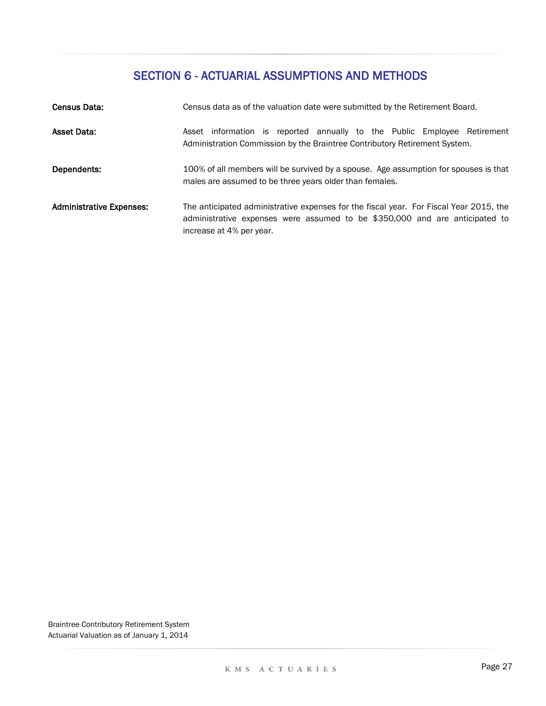| Census Data:                    | Census data as of the valuation date were submitted by the Retirement Board.                                                                                                                      |  |  |  |  |  |
|---------------------------------|---------------------------------------------------------------------------------------------------------------------------------------------------------------------------------------------------|--|--|--|--|--|
| <b>Asset Data:</b>              | Asset information is reported annually to the Public Employee Retirement<br>Administration Commission by the Braintree Contributory Retirement System.                                            |  |  |  |  |  |
| Dependents:                     | 100% of all members will be survived by a spouse. Age assumption for spouses is that<br>males are assumed to be three years older than females.                                                   |  |  |  |  |  |
| <b>Administrative Expenses:</b> | The anticipated administrative expenses for the fiscal year. For Fiscal Year 2015, the<br>administrative expenses were assumed to be \$350,000 and are anticipated to<br>increase at 4% per year. |  |  |  |  |  |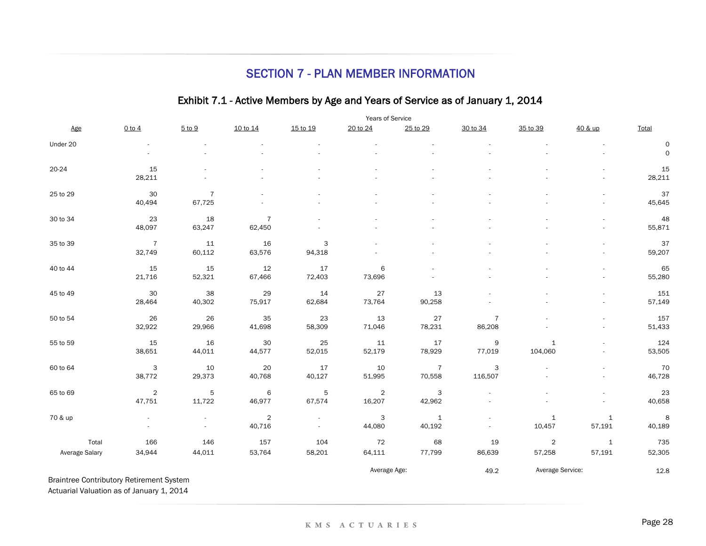### SECTION 7 - PLAN MEMBER INFORMATION

### Exhibit 7.1 - Active Members by Age and Years of Service as of January 1, 2014

|                                                 |                | Years of Service |                |             |              |                |                |                  |                          |                     |
|-------------------------------------------------|----------------|------------------|----------------|-------------|--------------|----------------|----------------|------------------|--------------------------|---------------------|
| Age                                             | $0$ to $4$     | 5 to 9           | 10 to 14       | 15 to 19    | 20 to 24     | 25 to 29       | 30 to 34       | 35 to 39         | 40 & up                  | Total               |
| Under 20                                        |                |                  |                |             |              |                |                |                  |                          | 0                   |
|                                                 |                |                  |                |             |              |                |                |                  | ä,                       | $\mathsf{O}\xspace$ |
| 20-24                                           | 15             |                  |                |             |              |                |                |                  |                          | 15                  |
|                                                 | 28,211         |                  |                |             |              |                |                |                  |                          | 28,211              |
| 25 to 29                                        | 30             | $\overline{7}$   |                |             |              |                |                |                  |                          | 37                  |
|                                                 | 40,494         | 67,725           |                |             |              |                |                |                  |                          | 45,645              |
| 30 to 34                                        | 23             | 18               | $\overline{7}$ |             |              |                |                |                  |                          | 48                  |
|                                                 | 48,097         | 63,247           | 62,450         |             |              |                |                |                  | ÷.                       | 55,871              |
| 35 to 39                                        | $\overline{7}$ | 11               | 16             | 3           |              |                |                |                  |                          | 37                  |
|                                                 | 32,749         | 60,112           | 63,576         | 94,318      |              |                |                |                  | $\overline{\phantom{a}}$ | 59,207              |
| 40 to 44                                        | 15             | 15               | 12             | 17          | 6            |                |                |                  |                          | 65                  |
|                                                 | 21,716         | 52,321           | 67,466         | 72,403      | 73,696       |                |                |                  | ÷.                       | 55,280              |
| 45 to 49                                        | 30             | 38               | 29             | 14          | 27           | 13             |                |                  |                          | 151                 |
|                                                 | 28,464         | 40,302           | 75,917         | 62,684      | 73,764       | 90,258         |                |                  | ÷.                       | 57,149              |
| 50 to 54                                        | 26             | 26               | 35             | 23          | 13           | 27             | $\overline{7}$ |                  |                          | 157                 |
|                                                 | 32,922         | 29,966           | 41,698         | 58,309      | 71,046       | 78,231         | 86,208         |                  |                          | 51,433              |
| 55 to 59                                        | 15             | 16               | $30\,$         | 25          | 11           | 17             | $\mathsf 9$    | $\mathbf{1}$     |                          | 124                 |
|                                                 | 38,651         | 44,011           | 44,577         | 52,015      | 52,179       | 78,929         | 77,019         | 104,060          |                          | 53,505              |
| 60 to 64                                        | $\mathsf 3$    | 10               | $20\,$         | $17$        | $10$         | $\overline{7}$ | 3              |                  |                          | 70                  |
|                                                 | 38,772         | 29,373           | 40,768         | 40,127      | 51,995       | 70,558         | 116,507        |                  |                          | 46,728              |
| 65 to 69                                        | $\overline{2}$ | $\mathbf 5$      | 6              | $\mathbf 5$ | $\sqrt{2}$   | 3              |                |                  |                          | 23                  |
|                                                 | 47,751         | 11,722           | 46,977         | 67,574      | 16,207       | 42,962         |                |                  | $\frac{1}{2}$            | 40,658              |
| 70 & up                                         | $\sim$         | $\omega$         | $\overline{c}$ | $\omega$    | 3            | $\mathbf 1$    |                | $\mathbf{1}$     | $\mathbf{1}$             | $\,$ 8              |
|                                                 |                |                  | 40,716         |             | 44,080       | 40,192         |                | 10,457           | 57,191                   | 40,189              |
| Total                                           | 166            | 146              | 157            | 104         | $72\,$       | 68             | 19             | $\overline{2}$   | $\mathbf{1}$             | 735                 |
| Average Salary                                  | 34,944         | 44,011           | 53,764         | 58,201      | 64,111       | 77,799         | 86,639         | 57,258           | 57,191                   | 52,305              |
|                                                 |                |                  |                |             | Average Age: |                | 49.2           | Average Service: |                          | 12.8                |
| <b>Braintree Contributory Retirement System</b> |                |                  |                |             |              |                |                |                  |                          |                     |

Actuarial Valuation as of January 1, 2014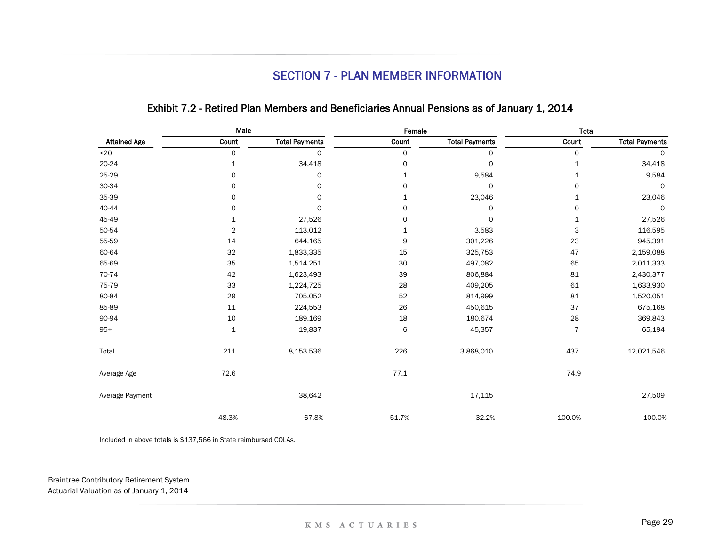### SECTION 7 - PLAN MEMBER INFORMATION

|                     | Male                    |                       | Female       |                       | <b>Total</b>   |                       |
|---------------------|-------------------------|-----------------------|--------------|-----------------------|----------------|-----------------------|
| <b>Attained Age</b> | Count                   | <b>Total Payments</b> | Count        | <b>Total Payments</b> | Count          | <b>Total Payments</b> |
| $20$                | 0                       | 0                     | 0            | $\mathsf{O}$          | $\mathsf{o}$   | 0                     |
| 20-24               | 1                       | 34,418                | 0            | $\circ$               | $\mathbf 1$    | 34,418                |
| 25-29               | $\mathsf{O}$            | 0                     | $\mathbf{1}$ | 9,584                 | $\mathbf{1}$   | 9,584                 |
| 30-34               | 0                       | 0                     | 0            | $\mathsf{o}$          | $\mathbf 0$    | $\mathsf{O}$          |
| 35-39               | 0                       | 0                     | $\mathbf{1}$ | 23,046                | $\mathbf{1}$   | 23,046                |
| 40-44               | 0                       | $\mathsf{o}$          | 0            | $\circ$               | $\circ$        | $\mathsf{O}$          |
| 45-49               | 1                       | 27,526                | 0            | 0                     | $\mathbf 1$    | 27,526                |
| 50-54               | $\overline{\mathbf{c}}$ | 113,012               | $\mathbf 1$  | 3,583                 | 3              | 116,595               |
| 55-59               | 14                      | 644,165               | 9            | 301,226               | 23             | 945,391               |
| 60-64               | 32                      | 1,833,335             | 15           | 325,753               | 47             | 2,159,088             |
| 65-69               | 35                      | 1,514,251             | $30\,$       | 497,082               | 65             | 2,011,333             |
| 70-74               | 42                      | 1,623,493             | 39           | 806,884               | 81             | 2,430,377             |
| 75-79               | 33                      | 1,224,725             | 28           | 409,205               | 61             | 1,633,930             |
| 80-84               | 29                      | 705,052               | 52           | 814,999               | 81             | 1,520,051             |
| 85-89               | 11                      | 224,553               | 26           | 450,615               | 37             | 675,168               |
| 90-94               | 10                      | 189,169               | 18           | 180,674               | 28             | 369,843               |
| $95+$               | $\mathbf{1}$            | 19,837                | 6            | 45,357                | $\overline{7}$ | 65,194                |
| Total               | $211\,$                 | 8,153,536             | 226          | 3,868,010             | 437            | 12,021,546            |
| Average Age         | 72.6                    |                       | 77.1         |                       | 74.9           |                       |
| Average Payment     |                         | 38,642                |              | 17,115                |                | 27,509                |
|                     | 48.3%                   | 67.8%                 | 51.7%        | 32.2%                 | 100.0%         | 100.0%                |

### Exhibit 7.2 - Retired Plan Members and Beneficiaries Annual Pensions as of January 1, 2014

Included in above totals is \$137,566 in State reimbursed COLAs.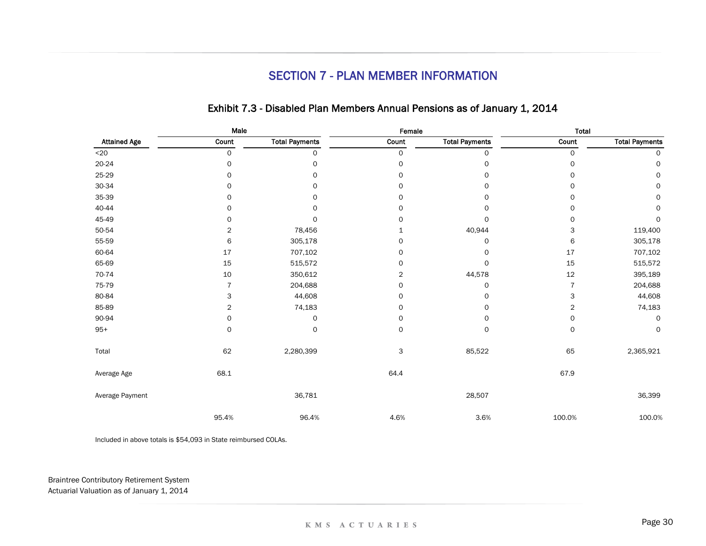## SECTION 7 - PLAN MEMBER INFORMATION

|                     | Male           |                       | Female              |                       | <b>Total</b>   |                       |  |
|---------------------|----------------|-----------------------|---------------------|-----------------------|----------------|-----------------------|--|
| <b>Attained Age</b> | Count          | <b>Total Payments</b> | Count               | <b>Total Payments</b> | Count          | <b>Total Payments</b> |  |
| $20$                | 0              | 0                     | $\mathsf O$         | 0                     | $\mathsf{o}$   | 0                     |  |
| 20-24               | $\circ$        | 0                     | $\mathsf O$         | 0                     | $\circ$        | 0                     |  |
| 25-29               | 0              | 0                     | 0                   | 0                     | $\circ$        | 0                     |  |
| 30-34               | $\circ$        | 0                     | 0                   | 0                     | 0              | 0                     |  |
| 35-39               | 0              | 0                     | 0                   | 0                     | $\circ$        | 0                     |  |
| 40-44               | $\Omega$       | 0                     | 0                   | $\Omega$              | $\Omega$       | 0                     |  |
| 45-49               | 0              | $\Omega$              | 0                   | $\mathbf 0$           | 0              | $\circ$               |  |
| 50-54               | $\overline{2}$ | 78,456                | 1                   | 40,944                | 3              | 119,400               |  |
| 55-59               | 6              | 305,178               | 0                   | $\circ$               | 6              | 305,178               |  |
| 60-64               | 17             | 707,102               | $\mathsf O$         | 0                     | 17             | 707,102               |  |
| 65-69               | 15             | 515,572               | $\mathsf O$         | 0                     | 15             | 515,572               |  |
| 70-74               | 10             | 350,612               | 2                   | 44,578                | 12             | 395,189               |  |
| 75-79               | $\overline{7}$ | 204,688               | $\mathsf{O}\xspace$ | 0                     | $\overline{7}$ | 204,688               |  |
| 80-84               | 3              | 44,608                | 0                   | 0                     | 3              | 44,608                |  |
| 85-89               | 2              | 74,183                | 0                   | 0                     | $\overline{c}$ | 74,183                |  |
| 90-94               | 0              | 0                     | $\mathsf O$         | 0                     | $\circ$        | $\circ$               |  |
| $95+$               | 0              | 0                     | $\mathsf{o}$        | 0                     | 0              | 0                     |  |
| Total               | 62             | 2,280,399             | 3                   | 85,522                | 65             | 2,365,921             |  |
| Average Age         | 68.1           |                       | 64.4                |                       | 67.9           |                       |  |
| Average Payment     |                | 36,781                |                     | 28,507                |                | 36,399                |  |
|                     | 95.4%          | 96.4%                 | 4.6%                | 3.6%                  | 100.0%         | 100.0%                |  |

### Exhibit 7.3 - Disabled Plan Members Annual Pensions as of January 1, 2014

Included in above totals is \$54,093 in State reimbursed COLAs.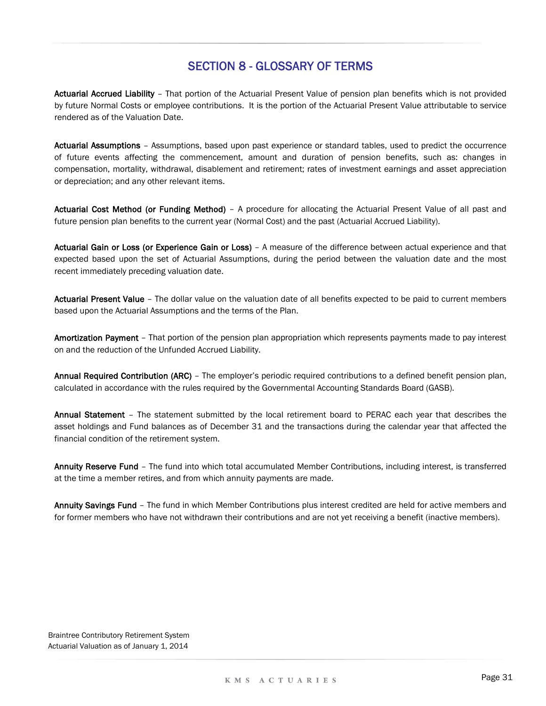### SECTION 8 - GLOSSARY OF TERMS

Actuarial Accrued Liability – That portion of the Actuarial Present Value of pension plan benefits which is not provided by future Normal Costs or employee contributions. It is the portion of the Actuarial Present Value attributable to service rendered as of the Valuation Date.

Actuarial Assumptions – Assumptions, based upon past experience or standard tables, used to predict the occurrence of future events affecting the commencement, amount and duration of pension benefits, such as: changes in compensation, mortality, withdrawal, disablement and retirement; rates of investment earnings and asset appreciation or depreciation; and any other relevant items.

Actuarial Cost Method (or Funding Method) – A procedure for allocating the Actuarial Present Value of all past and future pension plan benefits to the current year (Normal Cost) and the past (Actuarial Accrued Liability).

Actuarial Gain or Loss (or Experience Gain or Loss) – A measure of the difference between actual experience and that expected based upon the set of Actuarial Assumptions, during the period between the valuation date and the most recent immediately preceding valuation date.

Actuarial Present Value - The dollar value on the valuation date of all benefits expected to be paid to current members based upon the Actuarial Assumptions and the terms of the Plan.

Amortization Payment - That portion of the pension plan appropriation which represents payments made to pay interest on and the reduction of the Unfunded Accrued Liability.

Annual Required Contribution (ARC) – The employer's periodic required contributions to a defined benefit pension plan, calculated in accordance with the rules required by the Governmental Accounting Standards Board (GASB).

Annual Statement – The statement submitted by the local retirement board to PERAC each year that describes the asset holdings and Fund balances as of December 31 and the transactions during the calendar year that affected the financial condition of the retirement system.

Annuity Reserve Fund - The fund into which total accumulated Member Contributions, including interest, is transferred at the time a member retires, and from which annuity payments are made.

Annuity Savings Fund - The fund in which Member Contributions plus interest credited are held for active members and for former members who have not withdrawn their contributions and are not yet receiving a benefit (inactive members).